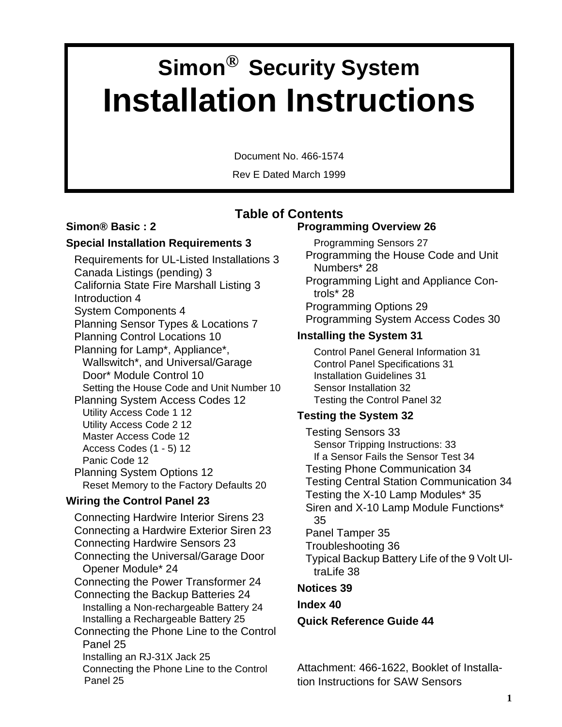# **Simon® Security System Installation Instructions**

Document No. 466-1574

Rev E Dated March 1999

## **Table of Contents**

### **[Simon® Basic : 2](#page-1-0)**

### **[Special Installation Requirements 3](#page-2-0)**

[Requirements for UL-Listed Installations 3](#page-2-0) [Canada Listings \(pending\) 3](#page-2-0) [California State Fire Marshall Listing 3](#page-2-0) [Introduction 4](#page-3-0) [System Components 4](#page-3-0) [Planning Sensor Types & Locations 7](#page-6-0) [Planning Control Locations 10](#page-9-0) Planning for Lamp\*, Appliance\*, [Wallswitch\\*, and Universal/Garage](#page-9-0)  Door\* Module Control 10 [Setting the House Code and Unit Number 10](#page-9-0) [Planning System Access Codes 12](#page-11-0) [Utility Access Code 1 12](#page-11-0) [Utility Access Code 2 12](#page-11-0) [Master Access Code 12](#page-11-0) [Access Codes \(1 - 5\) 12](#page-11-0) [Panic Code 12](#page-11-0) [Planning System Options 12](#page-11-0) [Reset Memory to the Factory Defaults 20](#page-19-0)

### **[Wiring the Control Panel 23](#page-22-0)**

[Connecting Hardwire Interior Sirens 23](#page-22-0) [Connecting a Hardwire Exterior Siren 23](#page-22-0) [Connecting Hardwire Sensors 23](#page-22-0) [Connecting the Universal/Garage Door](#page-23-0)  Opener Module\* 24 [Connecting the Power Transformer 24](#page-23-0) [Connecting the Backup Batteries 24](#page-23-0) [Installing a Non-rechargeable Battery 24](#page-23-0) [Installing a Rechargeable Battery 25](#page-24-0) [Connecting the Phone Line to the Control](#page-24-0)  Panel 25 [Installing an RJ-31X Jack 25](#page-24-0) [Connecting the Phone Line to the Control](#page-24-0)  Panel 25

## **[Programming Overview 26](#page-25-0)**

[Programming Sensors 27](#page-26-0) [Programming the House Code and Unit](#page-27-0)  Numbers\* 28 [Programming Light and Appliance Con](#page-27-0)trols\* 28 [Programming Options 29](#page-28-0) [Programming System Access Codes 30](#page-29-0) **[Installing the System 31](#page-30-0)** [Control Panel General Information 31](#page-30-0) [Control Panel Specifications 31](#page-30-0) [Installation Guidelines 31](#page-30-0) [Sensor Installation 32](#page-31-0)

[Testing the Control Panel 32](#page-31-0)

### **[Testing the System 32](#page-31-0)**

[Testing Sensors 33](#page-32-0) [Sensor Tripping Instructions: 33](#page-32-0) [If a Sensor Fails the Sensor Test 34](#page-33-0) [Testing Phone Communication 34](#page-33-0) [Testing Central Station Communication 34](#page-33-0) [Testing the X-10 Lamp Modules\\* 35](#page-34-0) [Siren and X-10 Lamp Module Functions\\*](#page-34-0)  35 [Panel Tamper 35](#page-34-0) [Troubleshooting 36](#page-35-0) [Typical Backup Battery Life of the 9 Volt Ul](#page-37-0)traLife 38

### **[Notices 39](#page-38-0)**

### **[Index 40](#page-40-0)**

### **[Quick Reference Guide 44](#page-45-0)**

Attachment: 466-1622, Booklet of Installation Instructions for SAW Sensors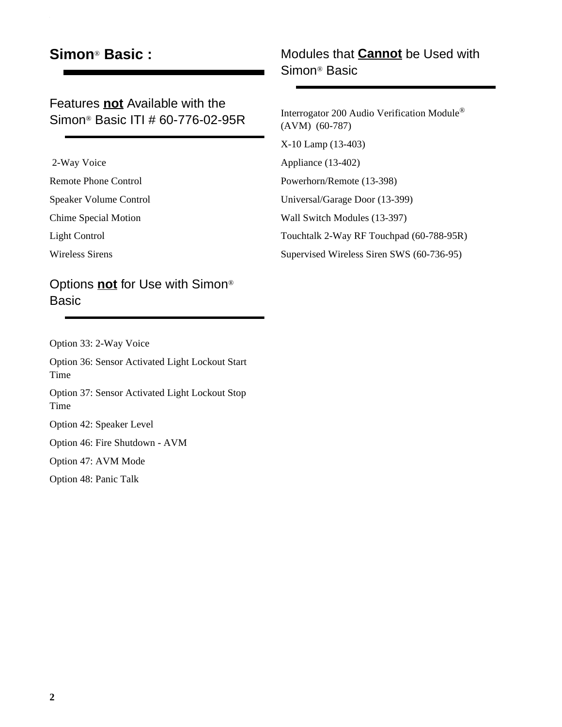## <span id="page-1-0"></span>**Simon**® **Basic :**

## Features **not** Available with the Simon® Basic ITI # 60-776-02-95R

2-Way Voice

Remote Phone Control

Speaker Volume Control

Chime Special Motion

Light Control

Wireless Sirens

## Options **not** for Use with Simon® **Basic**

Option 33: 2-Way Voice

Option 36: Sensor Activated Light Lockout Start Time Option 37: Sensor Activated Light Lockout Stop Time

Option 42: Speaker Level

Option 46: Fire Shutdown - AVM

Option 47: AVM Mode

Option 48: Panic Talk

## Modules that **Cannot** be Used with Simon® Basic

Interrogator 200 Audio Verification Module® (AVM) (60-787) X-10 Lamp (13-403) Appliance (13-402) Powerhorn/Remote (13-398) Universal/Garage Door (13-399) Wall Switch Modules (13-397) Touchtalk 2-Way RF Touchpad (60-788-95R) Supervised Wireless Siren SWS (60-736-95)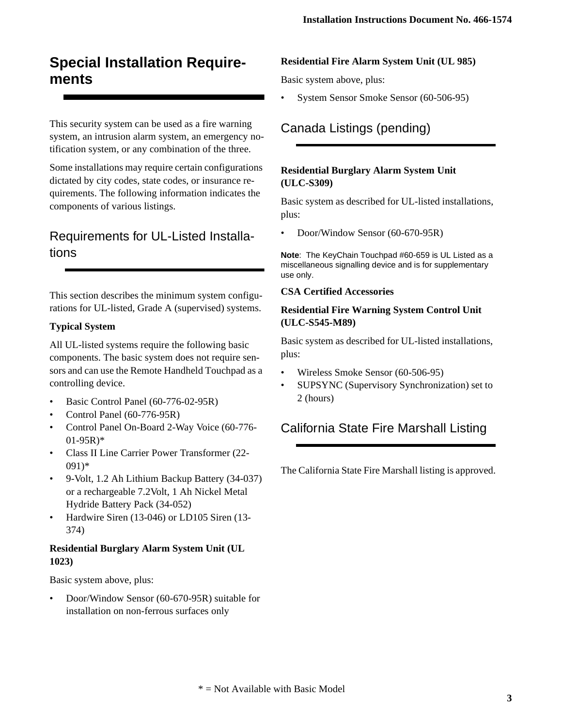## <span id="page-2-0"></span>**Special Installation Requirements**

This security system can be used as a fire warning system, an intrusion alarm system, an emergency notification system, or any combination of the three.

Some installations may require certain configurations dictated by city codes, state codes, or insurance requirements. The following information indicates the components of various listings.

## Requirements for UL-Listed Installations

This section describes the minimum system configurations for UL-listed, Grade A (supervised) systems.

### **Typical System**

All UL-listed systems require the following basic components. The basic system does not require sensors and can use the Remote Handheld Touchpad as a controlling device.

- Basic Control Panel (60-776-02-95R)
- Control Panel (60-776-95R)
- Control Panel On-Board 2-Way Voice (60-776-  $01-95R$ <sup>\*</sup>
- Class II Line Carrier Power Transformer (22- 091)\*
- 9-Volt, 1.2 Ah Lithium Backup Battery (34-037) or a rechargeable 7.2Volt, 1 Ah Nickel Metal Hydride Battery Pack (34-052)
- Hardwire Siren (13-046) or LD105 Siren (13-374)

### **Residential Burglary Alarm System Unit (UL 1023)**

Basic system above, plus:

• Door/Window Sensor (60-670-95R) suitable for installation on non-ferrous surfaces only

### **Residential Fire Alarm System Unit (UL 985)**

Basic system above, plus:

• System Sensor Smoke Sensor (60-506-95)

## Canada Listings (pending)

### **Residential Burglary Alarm System Unit (ULC-S309)**

Basic system as described for UL-listed installations, plus:

• Door/Window Sensor (60-670-95R)

**Note**: The KeyChain Touchpad #60-659 is UL Listed as a miscellaneous signalling device and is for supplementary use only.

### **CSA Certified Accessories**

### **Residential Fire Warning System Control Unit (ULC-S545-M89)**

Basic system as described for UL-listed installations, plus:

- Wireless Smoke Sensor (60-506-95)
- SUPSYNC (Supervisory Synchronization) set to 2 (hours)

## California State Fire Marshall Listing

The California State Fire Marshall listing is approved.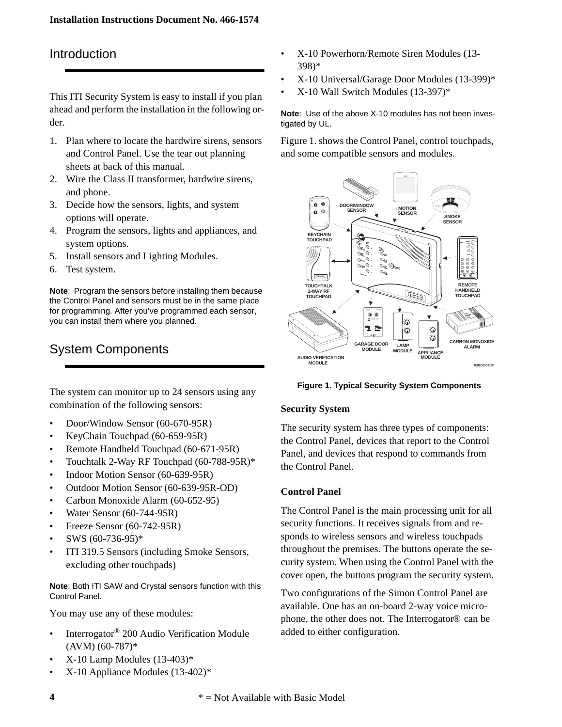### <span id="page-3-0"></span>Introduction

This ITI Security System is easy to install if you plan ahead and perform the installation in the following order.

- 1. Plan where to locate the hardwire sirens, sensors and Control Panel. Use the tear out planning sheets at back of this manual.
- 2. Wire the Class II transformer, hardwire sirens, and phone.
- 3. Decide how the sensors, lights, and system options will operate.
- 4. Program the sensors, lights and appliances, and system options.
- 5. Install sensors and Lighting Modules.
- 6. Test system.

**Note**: Program the sensors before installing them because the Control Panel and sensors must be in the same place for programming. After you've programmed each sensor, you can install them where you planned.

## System Components

The system can monitor up to 24 sensors using any combination of the following sensors:

- Door/Window Sensor (60-670-95R)
- KeyChain Touchpad (60-659-95R)
- Remote Handheld Touchpad (60-671-95R)
- Touchtalk 2-Way RF Touchpad (60-788-95R)\*
- Indoor Motion Sensor (60-639-95R)
- Outdoor Motion Sensor (60-639-95R-OD)
- Carbon Monoxide Alarm (60-652-95)
- Water Sensor (60-744-95R)
- Freeze Sensor (60-742-95R)
- SWS (60-736-95)\*
- ITI 319.5 Sensors (including Smoke Sensors, excluding other touchpads)

**Note**: Both ITI SAW and Crystal sensors function with this Control Panel.

You may use any of these modules:

- Interrogator® 200 Audio Verification Module  $(AVM)$   $(60-787)*$
- $X-10$  Lamp Modules  $(13-403)*$
- X-10 Appliance Modules (13-402)\*
- X-10 Powerhorn/Remote Siren Modules (13-398)\*
- X-10 Universal/Garage Door Modules (13-399)\*
- X-10 Wall Switch Modules (13-397)\*

**Note**: Use of the above X-10 modules has not been investigated by UL.

Figure 1. shows the Control Panel, control touchpads, and some compatible sensors and modules.



**Figure 1. Typical Security System Components**

#### **Security System**

The security system has three types of components: the Control Panel, devices that report to the Control Panel, and devices that respond to commands from the Control Panel.

### **Control Panel**

The Control Panel is the main processing unit for all security functions. It receives signals from and responds to wireless sensors and wireless touchpads throughout the premises. The buttons operate the security system. When using the Control Panel with the cover open, the buttons program the security system.

Two configurations of the Simon Control Panel are available. One has an on-board 2-way voice microphone, the other does not. The Interrogator® can be added to either configuration.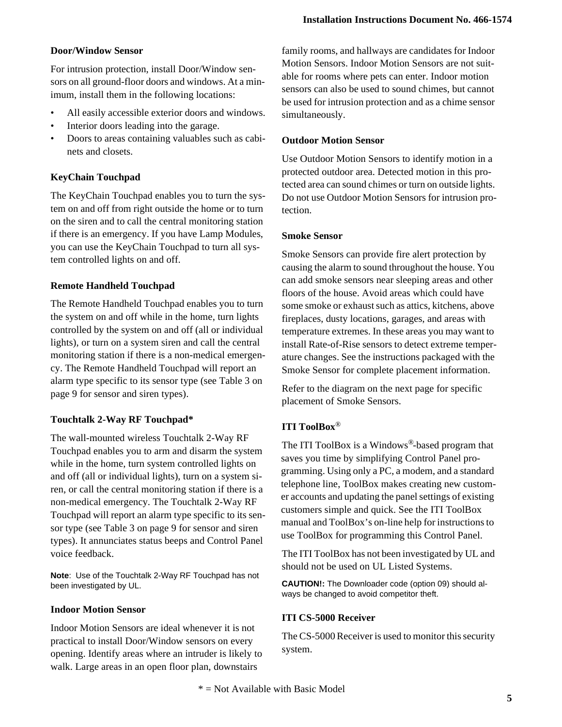### <span id="page-4-0"></span>**Door/Window Sensor**

For intrusion protection, install Door/Window sensors on all ground-floor doors and windows. At a minimum, install them in the following locations:

- All easily accessible exterior doors and windows.
- Interior doors leading into the garage.
- Doors to areas containing valuables such as cabinets and closets.

### **KeyChain Touchpad**

The KeyChain Touchpad enables you to turn the system on and off from right outside the home or to turn on the siren and to call the central monitoring station if there is an emergency. If you have Lamp Modules, you can use the KeyChain Touchpad to turn all system controlled lights on and off.

### **Remote Handheld Touchpad**

The Remote Handheld Touchpad enables you to turn the system on and off while in the home, turn lights controlled by the system on and off (all or individual lights), or turn on a system siren and call the central monitoring station if there is a non-medical emergency. The Remote Handheld Touchpad will report an alarm type specific to its sensor type (se[e Table 3 on](#page-8-0)  [page 9](#page-8-0) for sensor and siren types).

### **Touchtalk 2-Way RF Touchpad\***

The wall-mounted wireless Touchtalk 2-Way RF Touchpad enables you to arm and disarm the system while in the home, turn system controlled lights on and off (all or individual lights), turn on a system siren, or call the central monitoring station if there is a non-medical emergency. The Touchtalk 2-Way RF Touchpad will report an alarm type specific to its sensor type (see [Table 3 on page 9](#page-8-0) for sensor and siren types). It annunciates status beeps and Control Panel voice feedback.

**Note**: Use of the Touchtalk 2-Way RF Touchpad has not been investigated by UL.

### **Indoor Motion Sensor**

Indoor Motion Sensors are ideal whenever it is not practical to install Door/Window sensors on every opening. Identify areas where an intruder is likely to walk. Large areas in an open floor plan, downstairs

family rooms, and hallways are candidates for Indoor Motion Sensors. Indoor Motion Sensors are not suitable for rooms where pets can enter. Indoor motion sensors can also be used to sound chimes, but cannot be used for intrusion protection and as a chime sensor simultaneously.

### **Outdoor Motion Sensor**

Use Outdoor Motion Sensors to identify motion in a protected outdoor area. Detected motion in this protected area can sound chimes or turn on outside lights. Do not use Outdoor Motion Sensors for intrusion protection.

### **Smoke Sensor**

Smoke Sensors can provide fire alert protection by causing the alarm to sound throughout the house. You can add smoke sensors near sleeping areas and other floors of the house. Avoid areas which could have some smoke or exhaust such as attics, kitchens, above fireplaces, dusty locations, garages, and areas with temperature extremes. In these areas you may want to install Rate-of-Rise sensors to detect extreme temperature changes. See the instructions packaged with the Smoke Sensor for complete placement information.

Refer to the diagram on the next page for specific placement of Smoke Sensors.

### **ITI ToolBox**®

The ITI ToolBox is a Windows®-based program that saves you time by simplifying Control Panel programming. Using only a PC, a modem, and a standard telephone line, ToolBox makes creating new customer accounts and updating the panel settings of existing customers simple and quick. See the ITI ToolBox manual and ToolBox's on-line help for instructions to use ToolBox for programming this Control Panel.

The ITI ToolBox has not been investigated by UL and should not be used on UL Listed Systems.

**CAUTION!:** The Downloader code (option 09) should always be changed to avoid competitor theft.

### **ITI CS-5000 Receiver**

The CS-5000 Receiver is used to monitor this security system.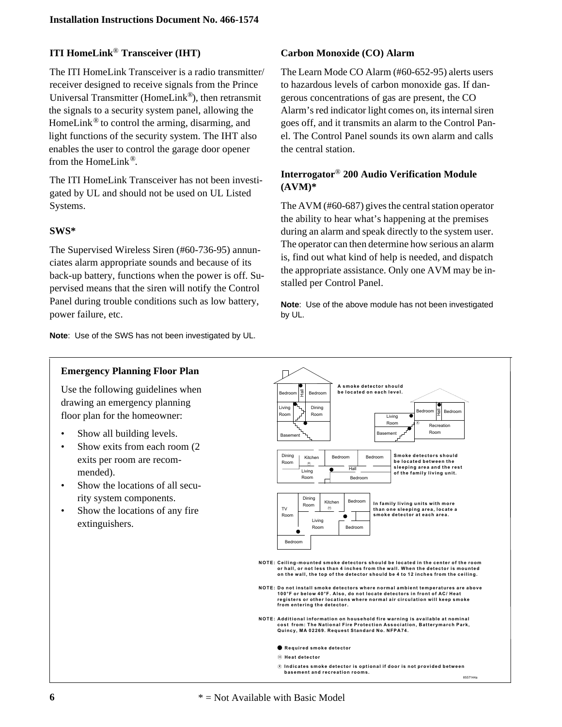### <span id="page-5-0"></span>**ITI HomeLink**® **Transceiver (IHT)**

The ITI HomeLink Transceiver is a radio transmitter/ receiver designed to receive signals from the Prince Universal Transmitter (HomeLink®), then retransmit the signals to a security system panel, allowing the HomeLink<sup>®</sup> to control the arming, disarming, and light functions of the security system. The IHT also enables the user to control the garage door opener from the HomeLink®.

The ITI HomeLink Transceiver has not been investigated by UL and should not be used on UL Listed Systems.

### **SWS\***

The Supervised Wireless Siren (#60-736-95) annunciates alarm appropriate sounds and because of its back-up battery, functions when the power is off. Supervised means that the siren will notify the Control Panel during trouble conditions such as low battery, power failure, etc.

**Note**: Use of the SWS has not been investigated by UL.

### **Carbon Monoxide (CO) Alarm**

The Learn Mode CO Alarm (#60-652-95) alerts users to hazardous levels of carbon monoxide gas. If dangerous concentrations of gas are present, the CO Alarm's red indicator light comes on, its internal siren goes off, and it transmits an alarm to the Control Panel. The Control Panel sounds its own alarm and calls the central station.

### **Interrogator**® **200 Audio Verification Module (AVM)\***

The AVM (#60-687) gives the central station operator the ability to hear what's happening at the premises during an alarm and speak directly to the system user. The operator can then determine how serious an alarm is, find out what kind of help is needed, and dispatch the appropriate assistance. Only one AVM may be installed per Control Panel.

**Note**: Use of the above module has not been investigated by UL.

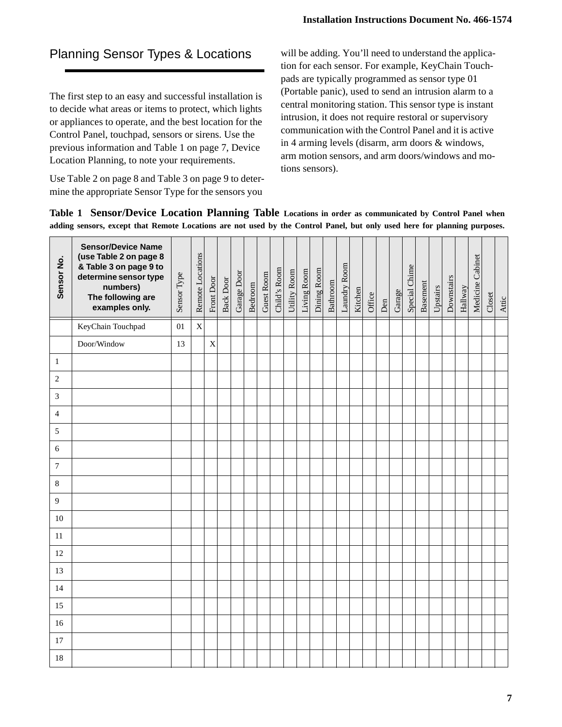## <span id="page-6-0"></span>Planning Sensor Types & Locations

The first step to an easy and successful installation is to decide what areas or items to protect, which lights or appliances to operate, and the best location for the Control Panel, touchpad, sensors or sirens. Use the previous information and Table 1 on page 7, Device Location Planning, to note your requirements.

Use [Table 2 on page 8](#page-7-0) and [Table 3 on page 9](#page-8-0) to determine the appropriate Sensor Type for the sensors you

will be adding. You'll need to understand the application for each sensor. For example, KeyChain Touchpads are typically programmed as sensor type 01 (Portable panic), used to send an intrusion alarm to a central monitoring station. This sensor type is instant intrusion, it does not require restoral or supervisory communication with the Control Panel and it is active in 4 arming levels (disarm, arm doors & windows, arm motion sensors, and arm doors/windows and motions sensors).

**Table 1 Sensor/Device Location Planning Table Locations in order as communicated by Control Panel when adding sensors, except that Remote Locations are not used by the Control Panel, but only used here for planning purposes.** 

| Sensor No.       | <b>Sensor/Device Name</b><br>(use Table 2 on page 8<br>& Table 3 on page 9 to<br>determine sensor type<br>numbers)<br>The following are<br>examples only. | Sensor Type | Remote Locations | Front Door | <b>Back Door</b> | Garage Door | Bedroom | Guest Room | Child's Room | Utility Room | Living Room | Dining Room | Bathroom | Laundry Room | Kitchen | Office | Den | Garage | Special Chime | Basement | Upstairs | Downstairs | Hallway | Medicine Cabinet | Closet | Attic |
|------------------|-----------------------------------------------------------------------------------------------------------------------------------------------------------|-------------|------------------|------------|------------------|-------------|---------|------------|--------------|--------------|-------------|-------------|----------|--------------|---------|--------|-----|--------|---------------|----------|----------|------------|---------|------------------|--------|-------|
|                  | KeyChain Touchpad                                                                                                                                         | $01\,$      | $\bar{X}$        |            |                  |             |         |            |              |              |             |             |          |              |         |        |     |        |               |          |          |            |         |                  |        |       |
|                  | Door/Window                                                                                                                                               | 13          |                  | X          |                  |             |         |            |              |              |             |             |          |              |         |        |     |        |               |          |          |            |         |                  |        |       |
| $\mathbf{1}$     |                                                                                                                                                           |             |                  |            |                  |             |         |            |              |              |             |             |          |              |         |        |     |        |               |          |          |            |         |                  |        |       |
| $\overline{c}$   |                                                                                                                                                           |             |                  |            |                  |             |         |            |              |              |             |             |          |              |         |        |     |        |               |          |          |            |         |                  |        |       |
| $\sqrt{3}$       |                                                                                                                                                           |             |                  |            |                  |             |         |            |              |              |             |             |          |              |         |        |     |        |               |          |          |            |         |                  |        |       |
| $\overline{4}$   |                                                                                                                                                           |             |                  |            |                  |             |         |            |              |              |             |             |          |              |         |        |     |        |               |          |          |            |         |                  |        |       |
| 5                |                                                                                                                                                           |             |                  |            |                  |             |         |            |              |              |             |             |          |              |         |        |     |        |               |          |          |            |         |                  |        |       |
| 6                |                                                                                                                                                           |             |                  |            |                  |             |         |            |              |              |             |             |          |              |         |        |     |        |               |          |          |            |         |                  |        |       |
| $\boldsymbol{7}$ |                                                                                                                                                           |             |                  |            |                  |             |         |            |              |              |             |             |          |              |         |        |     |        |               |          |          |            |         |                  |        |       |
| $8\,$            |                                                                                                                                                           |             |                  |            |                  |             |         |            |              |              |             |             |          |              |         |        |     |        |               |          |          |            |         |                  |        |       |
| 9                |                                                                                                                                                           |             |                  |            |                  |             |         |            |              |              |             |             |          |              |         |        |     |        |               |          |          |            |         |                  |        |       |
| $10\,$           |                                                                                                                                                           |             |                  |            |                  |             |         |            |              |              |             |             |          |              |         |        |     |        |               |          |          |            |         |                  |        |       |
| 11               |                                                                                                                                                           |             |                  |            |                  |             |         |            |              |              |             |             |          |              |         |        |     |        |               |          |          |            |         |                  |        |       |
| 12               |                                                                                                                                                           |             |                  |            |                  |             |         |            |              |              |             |             |          |              |         |        |     |        |               |          |          |            |         |                  |        |       |
| 13               |                                                                                                                                                           |             |                  |            |                  |             |         |            |              |              |             |             |          |              |         |        |     |        |               |          |          |            |         |                  |        |       |
| 14               |                                                                                                                                                           |             |                  |            |                  |             |         |            |              |              |             |             |          |              |         |        |     |        |               |          |          |            |         |                  |        |       |
| 15               |                                                                                                                                                           |             |                  |            |                  |             |         |            |              |              |             |             |          |              |         |        |     |        |               |          |          |            |         |                  |        |       |
| 16               |                                                                                                                                                           |             |                  |            |                  |             |         |            |              |              |             |             |          |              |         |        |     |        |               |          |          |            |         |                  |        |       |
| 17               |                                                                                                                                                           |             |                  |            |                  |             |         |            |              |              |             |             |          |              |         |        |     |        |               |          |          |            |         |                  |        |       |
| 18               |                                                                                                                                                           |             |                  |            |                  |             |         |            |              |              |             |             |          |              |         |        |     |        |               |          |          |            |         |                  |        |       |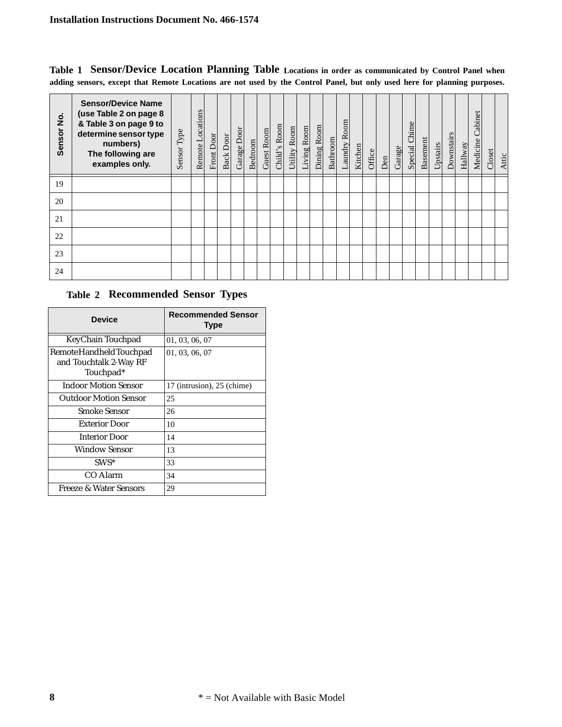<span id="page-7-0"></span>**Table 1 Sensor/Device Location Planning Table Locations in order as communicated by Control Panel when adding sensors, except that Remote Locations are not used by the Control Panel, but only used here for planning purposes.** 

| Sensor No. | <b>Sensor/Device Name</b><br>(use Table 2 on page 8<br>& Table 3 on page 9 to<br>determine sensor type<br>numbers)<br>The following are<br>examples only. | Sensor Type | Remote Locations | Front Door | <b>Back Door</b> | Garage Door | Bedroom | <b>Guest Room</b> | Child's Room | Utility Room | Living Room | Dining Room | Bathroom | Laundry Room | Kitchen | Office | Den | Garage | Chime<br>Special | Basement | Upstairs | Downstairs | Hallway | Cabinet<br>Medicine | Closet | Attic |
|------------|-----------------------------------------------------------------------------------------------------------------------------------------------------------|-------------|------------------|------------|------------------|-------------|---------|-------------------|--------------|--------------|-------------|-------------|----------|--------------|---------|--------|-----|--------|------------------|----------|----------|------------|---------|---------------------|--------|-------|
| 19         |                                                                                                                                                           |             |                  |            |                  |             |         |                   |              |              |             |             |          |              |         |        |     |        |                  |          |          |            |         |                     |        |       |
| 20         |                                                                                                                                                           |             |                  |            |                  |             |         |                   |              |              |             |             |          |              |         |        |     |        |                  |          |          |            |         |                     |        |       |
| 21         |                                                                                                                                                           |             |                  |            |                  |             |         |                   |              |              |             |             |          |              |         |        |     |        |                  |          |          |            |         |                     |        |       |
| 22         |                                                                                                                                                           |             |                  |            |                  |             |         |                   |              |              |             |             |          |              |         |        |     |        |                  |          |          |            |         |                     |        |       |
| 23         |                                                                                                                                                           |             |                  |            |                  |             |         |                   |              |              |             |             |          |              |         |        |     |        |                  |          |          |            |         |                     |        |       |
| 24         |                                                                                                                                                           |             |                  |            |                  |             |         |                   |              |              |             |             |          |              |         |        |     |        |                  |          |          |            |         |                     |        |       |

**Table 2 Recommended Sensor Types**

| <b>Device</b>                                                   | <b>Recommended Sensor</b><br><b>Type</b> |  |  |  |  |  |
|-----------------------------------------------------------------|------------------------------------------|--|--|--|--|--|
| KeyChain Touchpad                                               | 01, 03, 06, 07                           |  |  |  |  |  |
| Remote Handheld Touchpad<br>and Touchtalk 2-Way RF<br>Touchpad* | 01, 03, 06, 07                           |  |  |  |  |  |
| <b>Indoor Motion Sensor</b>                                     | 17 (intrusion), 25 (chime)               |  |  |  |  |  |
| <b>Outdoor Motion Sensor</b>                                    | 25                                       |  |  |  |  |  |
| Smoke Sensor                                                    | 26                                       |  |  |  |  |  |
| <b>Exterior Door</b>                                            | 10                                       |  |  |  |  |  |
| Interior Door                                                   | 14                                       |  |  |  |  |  |
| Window Sensor                                                   | 13                                       |  |  |  |  |  |
| SWS*                                                            | 33                                       |  |  |  |  |  |
| CO Alarm                                                        | 34                                       |  |  |  |  |  |
| <b>Freeze &amp; Water Sensors</b>                               | 29                                       |  |  |  |  |  |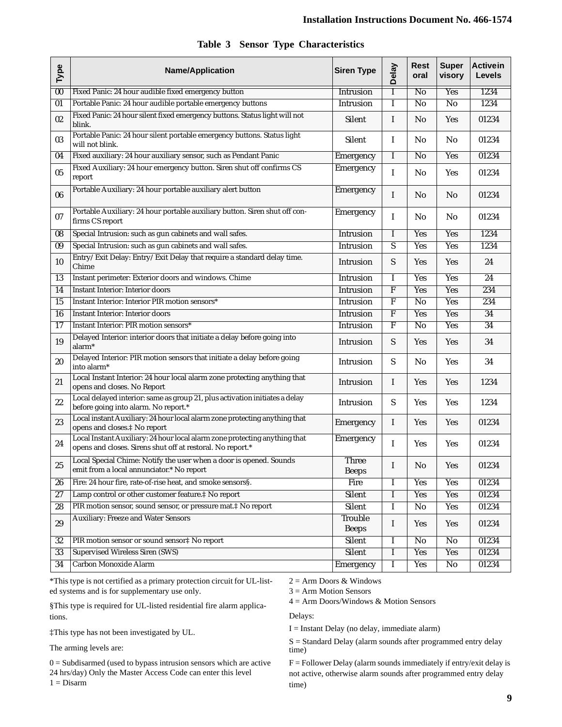<span id="page-8-0"></span>

| Type            | <b>Name/Application</b>                                                                                                                  | <b>Siren Type</b>            | Delay          | <b>Rest</b><br>oral | <b>Super</b><br>visory | <b>Activein</b><br><b>Levels</b> |
|-----------------|------------------------------------------------------------------------------------------------------------------------------------------|------------------------------|----------------|---------------------|------------------------|----------------------------------|
| 00              | Fixed Panic: 24 hour audible fixed emergency button                                                                                      | Intrusion                    | I              | No                  | Yes                    | 1234                             |
| 01              | Portable Panic: 24 hour audible portable emergency buttons                                                                               | Intrusion                    | I              | No                  | No                     | 1234                             |
| 02              | Fixed Panic: 24 hour silent fixed emergency buttons. Status light will not<br>blink.                                                     | Silent                       | $\mathbf I$    | No.                 | <b>Yes</b>             | 01234                            |
| 03              | Portable Panic: 24 hour silent portable emergency buttons. Status light<br>will not blink.                                               | Silent                       | I              | No                  | No                     | 01234                            |
| 04              | Fixed auxiliary: 24 hour auxiliary sensor, such as Pendant Panic                                                                         | Emergency                    | I              | N <sub>0</sub>      | Yes                    | 01234                            |
| 05              | Fixed Auxiliary: 24 hour emergency button. Siren shut off confirms CS<br>report                                                          | Emergency                    | I              | N <sub>0</sub>      | <b>Yes</b>             | 01234                            |
| 06              | Portable Auxiliary: 24 hour portable auxiliary alert button                                                                              | Emergency                    | I              | No                  | N <sub>0</sub>         | 01234                            |
| 07              | Portable Auxiliary: 24 hour portable auxiliary button. Siren shut off con-<br>firms CS report                                            | Emergency                    | I              | No                  | No                     | 01234                            |
| 08              | Special Intrusion: such as gun cabinets and wall safes.                                                                                  | <b>Intrusion</b>             | I              | Yes                 | Yes                    | 1234                             |
| 09              | Special Intrusion: such as gun cabinets and wall safes.                                                                                  | Intrusion                    | S              | <b>Yes</b>          | Yes                    | 1234                             |
| 10              | Entry/Exit Delay: Entry/Exit Delay that require a standard delay time.<br>Chime                                                          | Intrusion                    | S              | <b>Yes</b>          | Yes                    | 24                               |
| 13              | Instant perimeter: Exterior doors and windows. Chime                                                                                     | Intrusion                    | I              | Yes                 | Yes                    | 24                               |
| 14              | <b>Instant Interior: Interior doors</b>                                                                                                  | Intrusion                    | F              | Yes                 | Yes                    | 234                              |
| 15              | Instant Interior: Interior PIR motion sensors*                                                                                           | Intrusion                    | F              | No                  | <b>Yes</b>             | 234                              |
| 16              | <b>Instant Interior: Interior doors</b>                                                                                                  | Intrusion                    | $\overline{F}$ | Yes                 | <b>Yes</b>             | 34                               |
| 17              | Instant Interior: PIR motion sensors*                                                                                                    | Intrusion                    | F              | No                  | <b>Yes</b>             | 34                               |
| 19              | Delayed Interior: interior doors that initiate a delay before going into<br>alarm <sup>*</sup>                                           | Intrusion                    | S              | <b>Yes</b>          | <b>Yes</b>             | 34                               |
| 20              | Delayed Interior: PIR motion sensors that initiate a delay before going<br>into alarm*                                                   | Intrusion                    | S              | No                  | <b>Yes</b>             | 34                               |
| 21              | Local Instant Interior: 24 hour local alarm zone protecting anything that<br>opens and closes. No Report                                 | Intrusion                    | I              | <b>Yes</b>          | <b>Yes</b>             | 1234                             |
| 22              | Local delayed interior: same as group 21, plus activation initiates a delay<br>before going into alarm. No report.*                      | Intrusion                    | S              | <b>Yes</b>          | <b>Yes</b>             | 1234                             |
| 23              | Local instant Auxiliary: 24 hour local alarm zone protecting anything that<br>opens and closes. <sup>‡</sup> No report                   | Emergency                    | I              | <b>Yes</b>          | <b>Yes</b>             | 01234                            |
| 24              | Local Instant Auxiliary: 24 hour local alarm zone protecting anything that<br>opens and closes. Sirens shut off at restoral. No report.* | Emergency                    | I              | Yes                 | <b>Yes</b>             | 01234                            |
| $25\,$          | Local Special Chime: Notify the user when a door is opened. Sounds<br>emit from a local annunciator.* No report                          | <b>Three</b><br><b>Beeps</b> | $\mathbf I$    | $\rm No$            | Yes                    | 01234                            |
| 26              | Fire: 24 hour fire, rate-of-rise heat, and smoke sensors§.                                                                               | Fire                         | I              | <b>Yes</b>          | <b>Yes</b>             | 01234                            |
| 27              | Lamp control or other customer feature. <sup>‡</sup> No report                                                                           | Silent                       | $\bf{I}$       | Yes                 | <b>Yes</b>             | 01234                            |
| $\overline{28}$ | PIR motion sensor, sound sensor, or pressure mat.‡ No report                                                                             | Silent                       | Ι              | $\overline{No}$     | Yes                    | 01234                            |
| 29              | Auxiliary: Freeze and Water Sensors                                                                                                      | Trouble<br><b>Beeps</b>      | I              | <b>Yes</b>          | <b>Yes</b>             | 01234                            |
| 32              | PIR motion sensor or sound sensor‡ No report                                                                                             | Silent                       | Ι              | No                  | No                     | 01234                            |
| 33              | <b>Supervised Wireless Siren (SWS)</b>                                                                                                   | Silent                       | $\bf{I}$       | Yes                 | <b>Yes</b>             | 01234                            |
| $\overline{34}$ | Carbon Monoxide Alarm                                                                                                                    | Emergency                    | I              | Yes                 | N <sub>0</sub>         | 01234                            |

#### **Table 3 Sensor Type Characteristics**

\*This type is not certified as a primary protection circuit for UL-listed systems and is for supplementary use only.

§This type is required for UL-listed residential fire alarm applications.

‡This type has not been investigated by UL.

The arming levels are:

 $0 =$  Subdisarmed (used to bypass intrusion sensors which are active 24 hrs/day) Only the Master Access Code can enter this level  $1 =$ Disarm

2 = Arm Doors & Windows

3 = Arm Motion Sensors

4 = Arm Doors/Windows & Motion Sensors

Delays:

I = Instant Delay (no delay, immediate alarm)

S = Standard Delay (alarm sounds after programmed entry delay time)

 $F =$  Follower Delay (alarm sounds immediately if entry/exit delay is not active, otherwise alarm sounds after programmed entry delay time)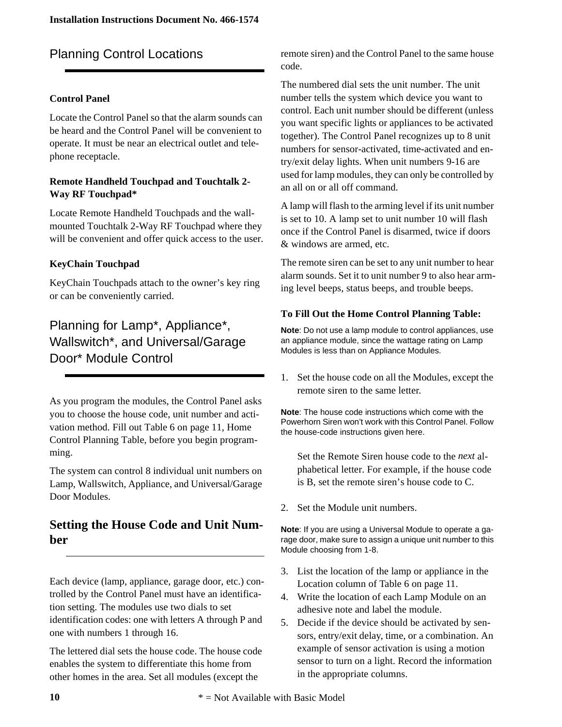## <span id="page-9-0"></span>Planning Control Locations

### **Control Panel**

Locate the Control Panel so that the alarm sounds can be heard and the Control Panel will be convenient to operate. It must be near an electrical outlet and telephone receptacle.

### **Remote Handheld Touchpad and Touchtalk 2- Way RF Touchpad\***

Locate Remote Handheld Touchpads and the wallmounted Touchtalk 2-Way RF Touchpad where they will be convenient and offer quick access to the user.

### **KeyChain Touchpad**

KeyChain Touchpads attach to the owner's key ring or can be conveniently carried.

## Planning for Lamp\*, Appliance\*, Wallswitch\*, and Universal/Garage Door\* Module Control

As you program the modules, the Control Panel asks you to choose the house code, unit number and activation method. Fill out [Table 6 on page 11](#page-10-0), Home Control Planning Table, before you begin programming.

The system can control 8 individual unit numbers on Lamp, Wallswitch, Appliance, and Universal/Garage Door Modules.

### **Setting the House Code and Unit Number**

Each device (lamp, appliance, garage door, etc.) controlled by the Control Panel must have an identification setting. The modules use two dials to set identification codes: one with letters A through P and one with numbers 1 through 16.

The lettered dial sets the house code. The house code enables the system to differentiate this home from other homes in the area. Set all modules (except the

remote siren) and the Control Panel to the same house code.

The numbered dial sets the unit number. The unit number tells the system which device you want to control. Each unit number should be different (unless you want specific lights or appliances to be activated together). The Control Panel recognizes up to 8 unit numbers for sensor-activated, time-activated and entry/exit delay lights. When unit numbers 9-16 are used for lamp modules, they can only be controlled by an all on or all off command.

A lamp will flash to the arming level if its unit number is set to 10. A lamp set to unit number 10 will flash once if the Control Panel is disarmed, twice if doors & windows are armed, etc.

The remote siren can be set to any unit number to hear alarm sounds. Set it to unit number 9 to also hear arming level beeps, status beeps, and trouble beeps.

### **To Fill Out the Home Control Planning Table:**

**Note**: Do not use a lamp module to control appliances, use an appliance module, since the wattage rating on Lamp Modules is less than on Appliance Modules.

1. Set the house code on all the Modules, except the remote siren to the same letter.

**Note**: The house code instructions which come with the Powerhorn Siren won't work with this Control Panel. Follow the house-code instructions given here.

Set the Remote Siren house code to the *next* alphabetical letter. For example, if the house code is B, set the remote siren's house code to C.

2. Set the Module unit numbers.

**Note**: If you are using a Universal Module to operate a garage door, make sure to assign a unique unit number to this Module choosing from 1-8.

- 3. List the location of the lamp or appliance in the Location column of [Table 6 on page 11](#page-10-0).
- 4. Write the location of each Lamp Module on an adhesive note and label the module.
- 5. Decide if the device should be activated by sensors, entry/exit delay, time, or a combination. An example of sensor activation is using a motion sensor to turn on a light. Record the information in the appropriate columns.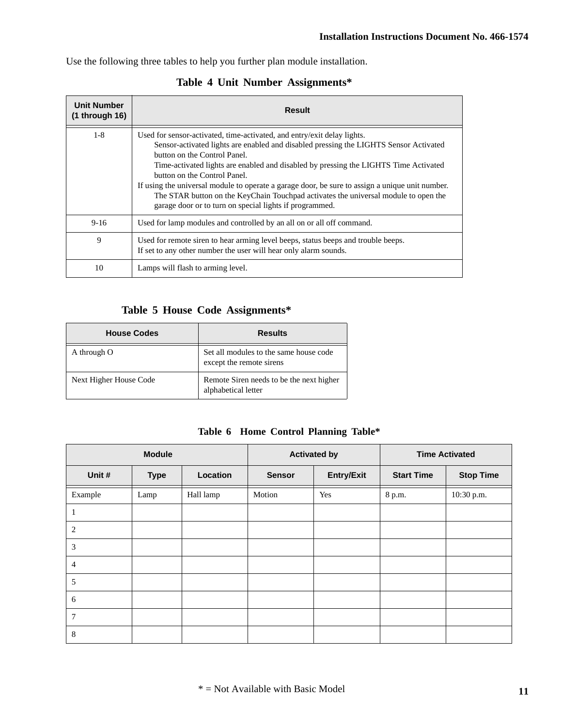<span id="page-10-0"></span>Use the following three tables to help you further plan module installation.

| <b>Unit Number</b><br>(1 through 16) | <b>Result</b>                                                                                                                                                                                                                                                                                                                                                                                                                                                                                                                                                                 |
|--------------------------------------|-------------------------------------------------------------------------------------------------------------------------------------------------------------------------------------------------------------------------------------------------------------------------------------------------------------------------------------------------------------------------------------------------------------------------------------------------------------------------------------------------------------------------------------------------------------------------------|
| $1 - 8$                              | Used for sensor-activated, time-activated, and entry/exit delay lights.<br>Sensor-activated lights are enabled and disabled pressing the LIGHTS Sensor Activated<br>button on the Control Panel.<br>Time-activated lights are enabled and disabled by pressing the LIGHTS Time Activated<br>button on the Control Panel.<br>If using the universal module to operate a garage door, be sure to assign a unique unit number.<br>The STAR button on the KeyChain Touchpad activates the universal module to open the<br>garage door or to turn on special lights if programmed. |
| $9 - 16$                             | Used for lamp modules and controlled by an all on or all off command.                                                                                                                                                                                                                                                                                                                                                                                                                                                                                                         |
| 9                                    | Used for remote siren to hear arming level beeps, status beeps and trouble beeps.<br>If set to any other number the user will hear only alarm sounds.                                                                                                                                                                                                                                                                                                                                                                                                                         |
| 10                                   | Lamps will flash to arming level.                                                                                                                                                                                                                                                                                                                                                                                                                                                                                                                                             |

**Table 4 Unit Number Assignments\***

### **Table 5 House Code Assignments\***

| <b>House Codes</b>     | <b>Results</b>                                                     |
|------------------------|--------------------------------------------------------------------|
| A through O            | Set all modules to the same house code<br>except the remote sirens |
| Next Higher House Code | Remote Siren needs to be the next higher<br>alphabetical letter    |

|  |  |  |  | Table 6 Home Control Planning Table* |  |
|--|--|--|--|--------------------------------------|--|
|--|--|--|--|--------------------------------------|--|

|                | <b>Module</b>           |           |               | <b>Activated by</b> | <b>Time Activated</b> |                  |  |  |  |
|----------------|-------------------------|-----------|---------------|---------------------|-----------------------|------------------|--|--|--|
| Unit #         | Location<br><b>Type</b> |           | <b>Sensor</b> | Entry/Exit          | <b>Start Time</b>     | <b>Stop Time</b> |  |  |  |
| Example        | Lamp                    | Hall lamp | Motion        | Yes                 | 8 p.m.                | 10:30 p.m.       |  |  |  |
| 1              |                         |           |               |                     |                       |                  |  |  |  |
| $\overline{c}$ |                         |           |               |                     |                       |                  |  |  |  |
| 3              |                         |           |               |                     |                       |                  |  |  |  |
| $\overline{4}$ |                         |           |               |                     |                       |                  |  |  |  |
| 5              |                         |           |               |                     |                       |                  |  |  |  |
| 6              |                         |           |               |                     |                       |                  |  |  |  |
| 7              |                         |           |               |                     |                       |                  |  |  |  |
| $\,$ 8 $\,$    |                         |           |               |                     |                       |                  |  |  |  |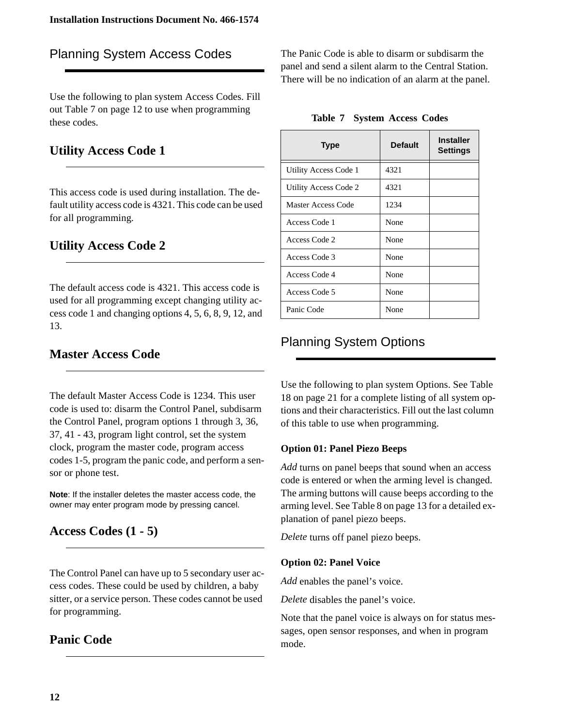### <span id="page-11-0"></span>Planning System Access Codes

Use the following to plan system Access Codes. Fill out Table 7 on page 12 to use when programming these codes.

### **Utility Access Code 1**

This access code is used during installation. The default utility access code is 4321. This code can be used for all programming.

### **Utility Access Code 2**

The default access code is 4321. This access code is used for all programming except changing utility access code 1 and changing options 4, 5, 6, 8, 9, 12, and 13.

### **Master Access Code**

The default Master Access Code is 1234. This user code is used to: disarm the Control Panel, subdisarm the Control Panel, program options 1 through 3, 36, 37, 41 - 43, program light control, set the system clock, program the master code, program access codes 1-5, program the panic code, and perform a sensor or phone test.

**Note**: If the installer deletes the master access code, the owner may enter program mode by pressing cancel.

### **Access Codes (1 - 5)**

The Control Panel can have up to 5 secondary user access codes. These could be used by children, a baby sitter, or a service person. These codes cannot be used for programming.

### **Panic Code**

The Panic Code is able to disarm or subdisarm the panel and send a silent alarm to the Central Station. There will be no indication of an alarm at the panel.

| <b>Type</b>               | <b>Default</b> | <b>Installer</b><br><b>Settings</b> |
|---------------------------|----------------|-------------------------------------|
| Utility Access Code 1     | 4321           |                                     |
| Utility Access Code 2     | 4321           |                                     |
| <b>Master Access Code</b> | 1234           |                                     |
| Access Code 1             | None           |                                     |
| Access Code 2             | None           |                                     |
| Access Code 3             | None           |                                     |
| Access Code 4             | None           |                                     |
| Access Code 5             | None           |                                     |
| Panic Code                | None           |                                     |

## Planning System Options

Use the following to plan system Options. See [Table](#page-20-0)  [18 on page 21](#page-20-0) for a complete listing of all system options and their characteristics. Fill out the last column of this table to use when programming.

#### **Option 01: Panel Piezo Beeps**

*Add* turns on panel beeps that sound when an access code is entered or when the arming level is changed. The arming buttons will cause beeps according to the arming level. See [Table 8 on page 13](#page-12-0) for a detailed explanation of panel piezo beeps.

*Delete* turns off panel piezo beeps.

#### **Option 02: Panel Voice**

*Add* enables the panel's voice.

*Delete* disables the panel's voice.

Note that the panel voice is always on for status messages, open sensor responses, and when in program mode.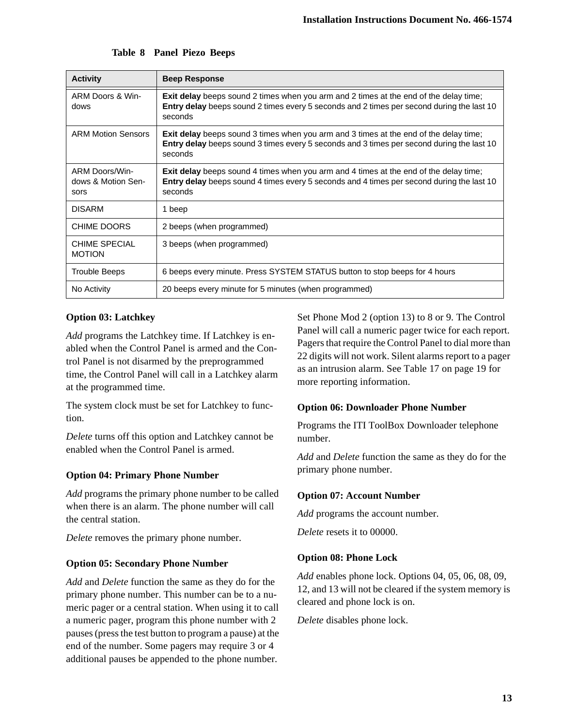<span id="page-12-0"></span>

| <b>Activity</b>                                     | <b>Beep Response</b>                                                                                                                                                                                        |
|-----------------------------------------------------|-------------------------------------------------------------------------------------------------------------------------------------------------------------------------------------------------------------|
| <b>ARM Doors &amp; Win-</b><br>dows                 | <b>Exit delay</b> beeps sound 2 times when you arm and 2 times at the end of the delay time;<br><b>Entry delay</b> beeps sound 2 times every 5 seconds and 2 times per second during the last 10<br>seconds |
| <b>ARM Motion Sensors</b>                           | <b>Exit delay</b> beeps sound 3 times when you arm and 3 times at the end of the delay time;<br><b>Entry delay</b> beeps sound 3 times every 5 seconds and 3 times per second during the last 10<br>seconds |
| <b>ARM Doors/Win-</b><br>dows & Motion Sen-<br>sors | Exit delay beeps sound 4 times when you arm and 4 times at the end of the delay time;<br><b>Entry delay</b> beeps sound 4 times every 5 seconds and 4 times per second during the last 10<br>seconds        |
| <b>DISARM</b>                                       | 1 beep                                                                                                                                                                                                      |
| CHIME DOORS                                         | 2 beeps (when programmed)                                                                                                                                                                                   |
| <b>CHIME SPECIAL</b><br><b>MOTION</b>               | 3 beeps (when programmed)                                                                                                                                                                                   |
| Trouble Beeps                                       | 6 beeps every minute. Press SYSTEM STATUS button to stop beeps for 4 hours                                                                                                                                  |
| No Activity                                         | 20 beeps every minute for 5 minutes (when programmed)                                                                                                                                                       |

**Table 8 Panel Piezo Beeps**

### **Option 03: Latchkey**

*Add* programs the Latchkey time. If Latchkey is enabled when the Control Panel is armed and the Control Panel is not disarmed by the preprogrammed time, the Control Panel will call in a Latchkey alarm at the programmed time.

The system clock must be set for Latchkey to function.

*Delete* turns off this option and Latchkey cannot be enabled when the Control Panel is armed.

### **Option 04: Primary Phone Number**

*Add* programs the primary phone number to be called when there is an alarm. The phone number will call the central station.

*Delete* removes the primary phone number.

### **Option 05: Secondary Phone Number**

*Add* and *Delete* function the same as they do for the primary phone number. This number can be to a numeric pager or a central station. When using it to call a numeric pager, program this phone number with 2 pauses (press the test button to program a pause) at the end of the number. Some pagers may require 3 or 4 additional pauses be appended to the phone number.

Set Phone Mod 2 (option 13) to 8 or 9. The Control Panel will call a numeric pager twice for each report. Pagers that require the Control Panel to dial more than 22 digits will not work. Silent alarms report to a pager as an intrusion alarm. See [Table 17 on page 19](#page-18-0) for more reporting information.

### **Option 06: Downloader Phone Number**

Programs the ITI ToolBox Downloader telephone number.

*Add* and *Delete* function the same as they do for the primary phone number.

### **Option 07: Account Number**

*Add* programs the account number.

*Delete* resets it to 00000.

### **Option 08: Phone Lock**

*Add* enables phone lock. Options 04, 05, 06, 08, 09, 12, and 13 will not be cleared if the system memory is cleared and phone lock is on.

*Delete* disables phone lock.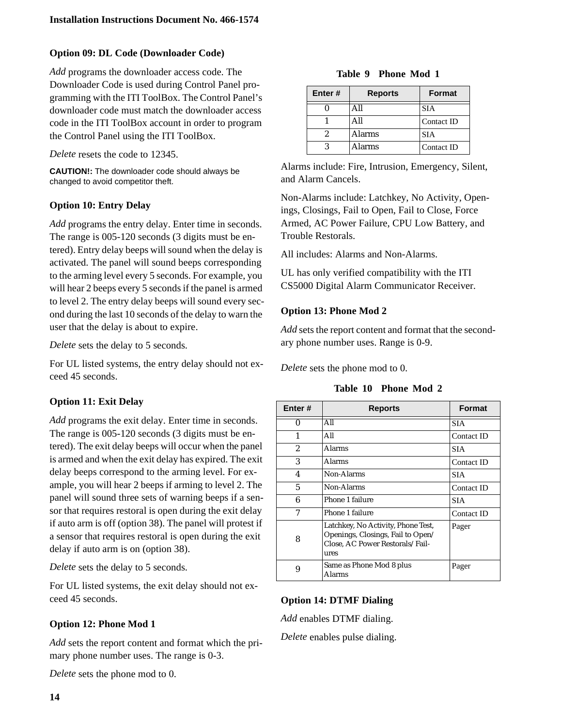### <span id="page-13-0"></span>**Option 09: DL Code (Downloader Code)**

*Add* programs the downloader access code. The Downloader Code is used during Control Panel programming with the ITI ToolBox. The Control Panel's downloader code must match the downloader access code in the ITI ToolBox account in order to program the Control Panel using the ITI ToolBox.

*Delete* resets the code to 12345.

**CAUTION!:** The downloader code should always be changed to avoid competitor theft.

### **Option 10: Entry Delay**

*Add* programs the entry delay. Enter time in seconds. The range is 005-120 seconds (3 digits must be entered). Entry delay beeps will sound when the delay is activated. The panel will sound beeps corresponding to the arming level every 5 seconds. For example, you will hear 2 beeps every 5 seconds if the panel is armed to level 2. The entry delay beeps will sound every second during the last 10 seconds of the delay to warn the user that the delay is about to expire.

*Delete* sets the delay to 5 seconds.

For UL listed systems, the entry delay should not exceed 45 seconds.

### **Option 11: Exit Delay**

*Add* programs the exit delay. Enter time in seconds. The range is 005-120 seconds (3 digits must be entered). The exit delay beeps will occur when the panel is armed and when the exit delay has expired. The exit delay beeps correspond to the arming level. For example, you will hear 2 beeps if arming to level 2. The panel will sound three sets of warning beeps if a sensor that requires restoral is open during the exit delay if auto arm is off (option 38). The panel will protest if a sensor that requires restoral is open during the exit delay if auto arm is on (option 38).

*Delete* sets the delay to 5 seconds.

For UL listed systems, the exit delay should not exceed 45 seconds.

### **Option 12: Phone Mod 1**

*Add* sets the report content and format which the primary phone number uses. The range is 0-3.

*Delete* sets the phone mod to 0.

**Table 9 Phone Mod 1**

| Enter# | <b>Reports</b> | <b>Format</b> |
|--------|----------------|---------------|
|        |                | <b>SIA</b>    |
|        | All            | Contact ID    |
| 2      | <b>Alarms</b>  | <b>SIA</b>    |
|        | <b>Alarms</b>  | Contact ID    |

Alarms include: Fire, Intrusion, Emergency, Silent, and Alarm Cancels.

Non-Alarms include: Latchkey, No Activity, Openings, Closings, Fail to Open, Fail to Close, Force Armed, AC Power Failure, CPU Low Battery, and Trouble Restorals.

All includes: Alarms and Non-Alarms.

UL has only verified compatibility with the ITI CS5000 Digital Alarm Communicator Receiver.

### **Option 13: Phone Mod 2**

*Add* sets the report content and format that the secondary phone number uses. Range is 0-9.

*Delete* sets the phone mod to 0.

**Table 10 Phone Mod 2**

| Enter# | <b>Reports</b>                                                                                                     | <b>Format</b> |
|--------|--------------------------------------------------------------------------------------------------------------------|---------------|
| U      | All                                                                                                                | <b>SIA</b>    |
| 1      | All                                                                                                                | Contact ID    |
| 2      | Alarms                                                                                                             | <b>SIA</b>    |
| 3      | Alarms                                                                                                             | Contact ID    |
| 4      | Non-Alarms                                                                                                         | <b>SIA</b>    |
| 5      | Non-Alarms                                                                                                         | Contact ID    |
| 6      | Phone 1 failure                                                                                                    | <b>SIA</b>    |
| 7      | Phone 1 failure                                                                                                    | Contact ID    |
| 8      | Latchkey, No Activity, Phone Test,<br>Openings, Closings, Fail to Open/<br>Close, AC Power Restorals/Fail-<br>ures | Pager         |
| 9      | Same as Phone Mod 8 plus<br>Alarms                                                                                 | Pager         |

### **Option 14: DTMF Dialing**

*Add* enables DTMF dialing.

*Delete* enables pulse dialing.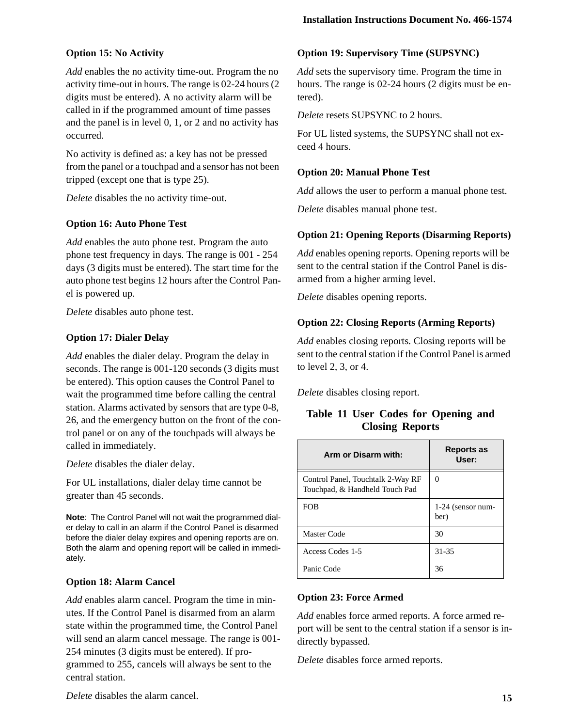### <span id="page-14-0"></span>**Option 15: No Activity**

*Add* enables the no activity time-out. Program the no activity time-out in hours. The range is 02-24 hours (2 digits must be entered). A no activity alarm will be called in if the programmed amount of time passes and the panel is in level 0, 1, or 2 and no activity has occurred.

No activity is defined as: a key has not be pressed from the panel or a touchpad and a sensor has not been tripped (except one that is type 25).

*Delete* disables the no activity time-out.

### **Option 16: Auto Phone Test**

*Add* enables the auto phone test. Program the auto phone test frequency in days. The range is 001 - 254 days (3 digits must be entered). The start time for the auto phone test begins 12 hours after the Control Panel is powered up.

*Delete* disables auto phone test.

### **Option 17: Dialer Delay**

*Add* enables the dialer delay. Program the delay in seconds. The range is 001-120 seconds (3 digits must be entered). This option causes the Control Panel to wait the programmed time before calling the central station. Alarms activated by sensors that are type 0-8, 26, and the emergency button on the front of the control panel or on any of the touchpads will always be called in immediately.

*Delete* disables the dialer delay.

For UL installations, dialer delay time cannot be greater than 45 seconds.

**Note**: The Control Panel will not wait the programmed dialer delay to call in an alarm if the Control Panel is disarmed before the dialer delay expires and opening reports are on. Both the alarm and opening report will be called in immediately.

### **Option 18: Alarm Cancel**

*Add* enables alarm cancel. Program the time in minutes. If the Control Panel is disarmed from an alarm state within the programmed time, the Control Panel will send an alarm cancel message. The range is 001- 254 minutes (3 digits must be entered). If programmed to 255, cancels will always be sent to the central station.

### **Option 19: Supervisory Time (SUPSYNC)**

*Add* sets the supervisory time. Program the time in hours. The range is 02-24 hours (2 digits must be entered).

*Delete* resets SUPSYNC to 2 hours.

For UL listed systems, the SUPSYNC shall not exceed 4 hours.

### **Option 20: Manual Phone Test**

*Add* allows the user to perform a manual phone test.

*Delete* disables manual phone test.

### **Option 21: Opening Reports (Disarming Reports)**

*Add* enables opening reports. Opening reports will be sent to the central station if the Control Panel is disarmed from a higher arming level.

*Delete* disables opening reports.

### **Option 22: Closing Reports (Arming Reports)**

*Add* enables closing reports. Closing reports will be sent to the central station if the Control Panel is armed to level 2, 3, or 4.

*Delete* disables closing report.

### **Table 11 User Codes for Opening and Closing Reports**

| Arm or Disarm with:                                                 | Reports as<br>User:       |
|---------------------------------------------------------------------|---------------------------|
| Control Panel, Touchtalk 2-Way RF<br>Touchpad, & Handheld Touch Pad | 0                         |
| <b>FOB</b>                                                          | 1-24 (sensor num-<br>ber) |
| Master Code                                                         | 30                        |
| Access Codes 1-5                                                    | 31-35                     |
| Panic Code                                                          | 36                        |

### **Option 23: Force Armed**

*Add* enables force armed reports. A force armed report will be sent to the central station if a sensor is indirectly bypassed.

*Delete* disables force armed reports.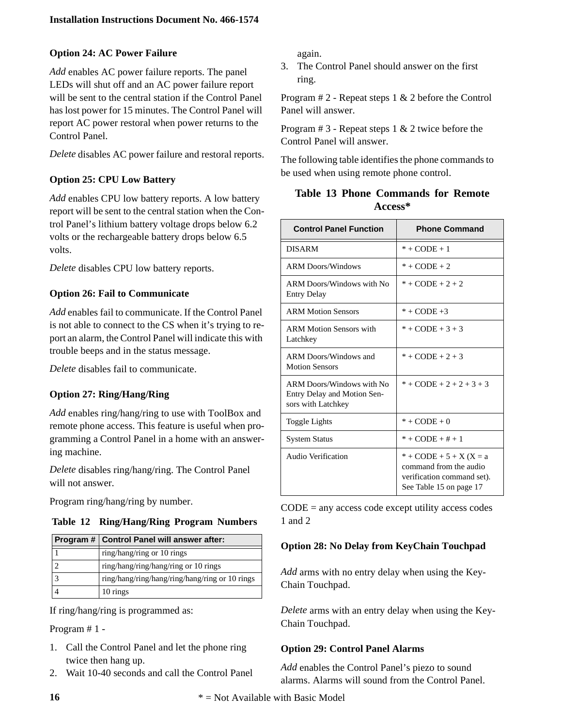### <span id="page-15-0"></span>**Option 24: AC Power Failure**

*Add* enables AC power failure reports. The panel LEDs will shut off and an AC power failure report will be sent to the central station if the Control Panel has lost power for 15 minutes. The Control Panel will report AC power restoral when power returns to the Control Panel.

*Delete* disables AC power failure and restoral reports.

### **Option 25: CPU Low Battery**

*Add* enables CPU low battery reports. A low battery report will be sent to the central station when the Control Panel's lithium battery voltage drops below 6.2 volts or the rechargeable battery drops below 6.5 volts.

*Delete* disables CPU low battery reports.

### **Option 26: Fail to Communicate**

*Add* enables fail to communicate. If the Control Panel is not able to connect to the CS when it's trying to report an alarm, the Control Panel will indicate this with trouble beeps and in the status message.

*Delete* disables fail to communicate.

### **Option 27: Ring/Hang/Ring**

*Add* enables ring/hang/ring to use with ToolBox and remote phone access. This feature is useful when programming a Control Panel in a home with an answering machine.

*Delete* disables ring/hang/ring. The Control Panel will not answer

Program ring/hang/ring by number.

|  |  | Table 12 Ring/Hang/Ring Program Numbers |  |  |  |
|--|--|-----------------------------------------|--|--|--|
|--|--|-----------------------------------------|--|--|--|

| Program #   Control Panel will answer after:   |
|------------------------------------------------|
| ring/hang/ring or 10 rings                     |
| ring/hang/ring/hang/ring or 10 rings           |
| ring/hang/ring/hang/ring/hang/ring or 10 rings |
| 10 rings                                       |

If ring/hang/ring is programmed as:

Program # 1 -

- 1. Call the Control Panel and let the phone ring twice then hang up.
- 2. Wait 10-40 seconds and call the Control Panel

again.

3. The Control Panel should answer on the first ring.

Program # 2 - Repeat steps 1 & 2 before the Control Panel will answer.

Program  $# 3$  - Repeat steps 1 & 2 twice before the Control Panel will answer.

The following table identifies the phone commands to be used when using remote phone control.

|  | Table 13 Phone Commands for Remote |  |
|--|------------------------------------|--|
|  | $Access*$                          |  |

| <b>Control Panel Function</b>                                                         | <b>Phone Command</b>                                                                                       |
|---------------------------------------------------------------------------------------|------------------------------------------------------------------------------------------------------------|
| <b>DISARM</b>                                                                         | $*$ + CODE + 1                                                                                             |
| <b>ARM Doors/Windows</b>                                                              | $*$ + CODE + 2                                                                                             |
| ARM Doors/Windows with No<br><b>Entry Delay</b>                                       | * + CODE + 2 + 2                                                                                           |
| <b>ARM Motion Sensors</b>                                                             | $*$ + CODE +3                                                                                              |
| <b>ARM Motion Sensors with</b><br>Latchkey                                            | $* + \text{CODE} + 3 + 3$                                                                                  |
| <b>ARM Doors/Windows and</b><br><b>Motion Sensors</b>                                 | $* + \text{CODE} + 2 + 3$                                                                                  |
| ARM Doors/Windows with No<br><b>Entry Delay and Motion Sen-</b><br>sors with Latchkey | * + CODE + 2 + 2 + 3 + 3                                                                                   |
| Toggle Lights                                                                         | $*$ + CODE + 0                                                                                             |
| <b>System Status</b>                                                                  | $* + \text{CODE} + # + 1$                                                                                  |
| Audio Verification                                                                    | * + CODE + 5 + X (X = a<br>command from the audio<br>verification command set).<br>See Table 15 on page 17 |

 $CODE = any access code except utility access codes$ 1 and 2

### **Option 28: No Delay from KeyChain Touchpad**

*Add* arms with no entry delay when using the Key-Chain Touchpad.

*Delete* arms with an entry delay when using the Key-Chain Touchpad.

### **Option 29: Control Panel Alarms**

*Add* enables the Control Panel's piezo to sound alarms. Alarms will sound from the Control Panel.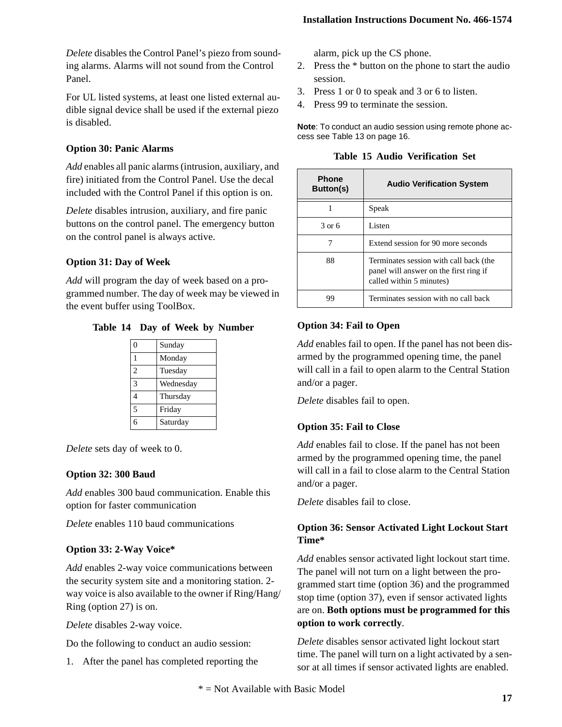<span id="page-16-0"></span>*Delete* disables the Control Panel's piezo from sounding alarms. Alarms will not sound from the Control Panel.

For UL listed systems, at least one listed external audible signal device shall be used if the external piezo is disabled.

### **Option 30: Panic Alarms**

*Add* enables all panic alarms (intrusion, auxiliary, and fire) initiated from the Control Panel. Use the decal included with the Control Panel if this option is on.

*Delete* disables intrusion, auxiliary, and fire panic buttons on the control panel. The emergency button on the control panel is always active.

### **Option 31: Day of Week**

*Add* will program the day of week based on a programmed number. The day of week may be viewed in the event buffer using ToolBox.

### **Table 14 Day of Week by Number**

| 0              | Sunday    |
|----------------|-----------|
| 1              | Monday    |
| $\overline{c}$ | Tuesday   |
| 3              | Wednesday |
| 4              | Thursday  |
| $\overline{5}$ | Friday    |
| 6              | Saturday  |

*Delete* sets day of week to 0.

### **Option 32: 300 Baud**

*Add* enables 300 baud communication. Enable this option for faster communication

*Delete* enables 110 baud communications

### **Option 33: 2-Way Voice\***

*Add* enables 2-way voice communications between the security system site and a monitoring station. 2 way voice is also available to the owner if Ring/Hang/ Ring (option 27) is on.

*Delete* disables 2-way voice.

Do the following to conduct an audio session:

1. After the panel has completed reporting the

alarm, pick up the CS phone.

- 2. Press the \* button on the phone to start the audio session.
- 3. Press 1 or 0 to speak and 3 or 6 to listen.
- 4. Press 99 to terminate the session.

**Note**: To conduct an audio session using remote phone access see [Table 13 on page 16](#page-15-0).

**Table 15 Audio Verification Set**

| <b>Phone</b><br>Button(s) | <b>Audio Verification System</b>                                                                             |
|---------------------------|--------------------------------------------------------------------------------------------------------------|
|                           | Speak                                                                                                        |
| $3$ or 6                  | Listen                                                                                                       |
|                           | Extend session for 90 more seconds                                                                           |
| 88                        | Terminates session with call back (the<br>panel will answer on the first ring if<br>called within 5 minutes) |
|                           | Terminates session with no call back                                                                         |

### **Option 34: Fail to Open**

*Add* enables fail to open. If the panel has not been disarmed by the programmed opening time, the panel will call in a fail to open alarm to the Central Station and/or a pager.

*Delete* disables fail to open.

### **Option 35: Fail to Close**

*Add* enables fail to close. If the panel has not been armed by the programmed opening time, the panel will call in a fail to close alarm to the Central Station and/or a pager.

*Delete* disables fail to close.

### **Option 36: Sensor Activated Light Lockout Start Time\***

*Add* enables sensor activated light lockout start time. The panel will not turn on a light between the programmed start time (option 36) and the programmed stop time (option 37), even if sensor activated lights are on. **Both options must be programmed for this option to work correctly**.

*Delete* disables sensor activated light lockout start time. The panel will turn on a light activated by a sensor at all times if sensor activated lights are enabled.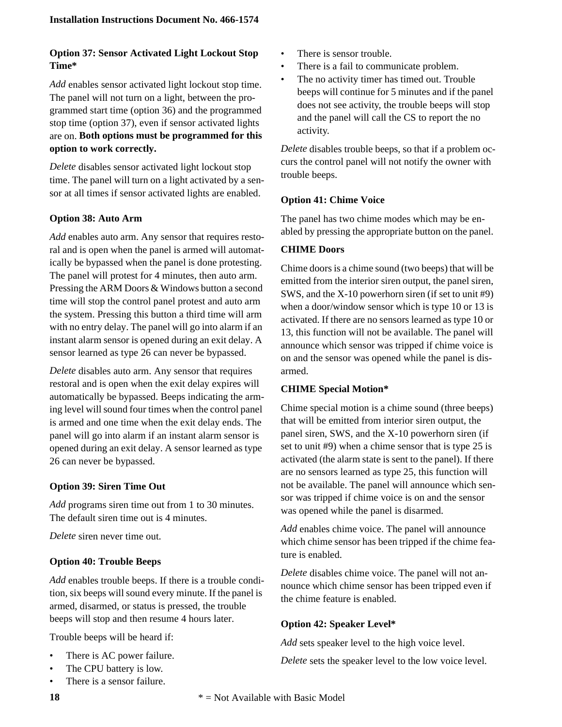### <span id="page-17-0"></span>**Option 37: Sensor Activated Light Lockout Stop Time\***

*Add* enables sensor activated light lockout stop time. The panel will not turn on a light, between the programmed start time (option 36) and the programmed stop time (option 37), even if sensor activated lights are on. **Both options must be programmed for this option to work correctly.**

*Delete* disables sensor activated light lockout stop time. The panel will turn on a light activated by a sensor at all times if sensor activated lights are enabled.

### **Option 38: Auto Arm**

*Add* enables auto arm. Any sensor that requires restoral and is open when the panel is armed will automatically be bypassed when the panel is done protesting. The panel will protest for 4 minutes, then auto arm. Pressing the ARM Doors & Windows button a second time will stop the control panel protest and auto arm the system. Pressing this button a third time will arm with no entry delay. The panel will go into alarm if an instant alarm sensor is opened during an exit delay. A sensor learned as type 26 can never be bypassed.

*Delete* disables auto arm. Any sensor that requires restoral and is open when the exit delay expires will automatically be bypassed. Beeps indicating the arming level will sound four times when the control panel is armed and one time when the exit delay ends. The panel will go into alarm if an instant alarm sensor is opened during an exit delay. A sensor learned as type 26 can never be bypassed.

### **Option 39: Siren Time Out**

*Add* programs siren time out from 1 to 30 minutes. The default siren time out is 4 minutes.

*Delete* siren never time out.

### **Option 40: Trouble Beeps**

*Add* enables trouble beeps. If there is a trouble condition, six beeps will sound every minute. If the panel is armed, disarmed, or status is pressed, the trouble beeps will stop and then resume 4 hours later.

Trouble beeps will be heard if:

- There is AC power failure.
- The CPU battery is low.
- There is a sensor failure.
- There is sensor trouble.
- There is a fail to communicate problem.
- The no activity timer has timed out. Trouble beeps will continue for 5 minutes and if the panel does not see activity, the trouble beeps will stop and the panel will call the CS to report the no activity.

*Delete* disables trouble beeps, so that if a problem occurs the control panel will not notify the owner with trouble beeps.

### **Option 41: Chime Voice**

The panel has two chime modes which may be enabled by pressing the appropriate button on the panel.

### **CHIME Doors**

Chime doors is a chime sound (two beeps) that will be emitted from the interior siren output, the panel siren, SWS, and the X-10 powerhorn siren (if set to unit #9) when a door/window sensor which is type 10 or 13 is activated. If there are no sensors learned as type 10 or 13, this function will not be available. The panel will announce which sensor was tripped if chime voice is on and the sensor was opened while the panel is disarmed.

### **CHIME Special Motion\***

Chime special motion is a chime sound (three beeps) that will be emitted from interior siren output, the panel siren, SWS, and the X-10 powerhorn siren (if set to unit #9) when a chime sensor that is type 25 is activated (the alarm state is sent to the panel). If there are no sensors learned as type 25, this function will not be available. The panel will announce which sensor was tripped if chime voice is on and the sensor was opened while the panel is disarmed.

*Add* enables chime voice. The panel will announce which chime sensor has been tripped if the chime feature is enabled.

*Delete* disables chime voice. The panel will not announce which chime sensor has been tripped even if the chime feature is enabled.

### **Option 42: Speaker Level\***

*Add* sets speaker level to the high voice level.

*Delete* sets the speaker level to the low voice level.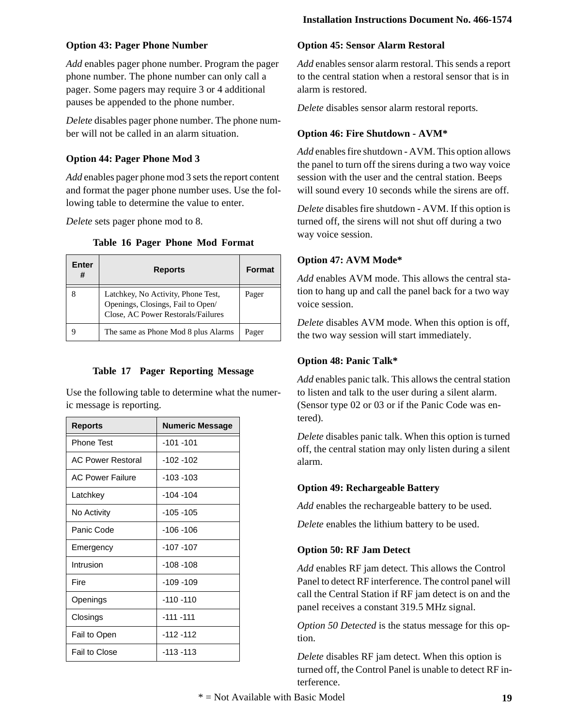### <span id="page-18-0"></span>**Option 43: Pager Phone Number**

*Add* enables pager phone number. Program the pager phone number. The phone number can only call a pager. Some pagers may require 3 or 4 additional pauses be appended to the phone number.

*Delete* disables pager phone number. The phone number will not be called in an alarm situation.

### **Option 44: Pager Phone Mod 3**

*Add* enables pager phone mod 3 sets the report content and format the pager phone number uses. Use the following table to determine the value to enter.

*Delete* sets pager phone mod to 8.

| Enter<br># | <b>Reports</b>                                                                                                | Format |
|------------|---------------------------------------------------------------------------------------------------------------|--------|
|            | Latchkey, No Activity, Phone Test,<br>Openings, Closings, Fail to Open/<br>Close, AC Power Restorals/Failures | Pager  |
|            | The same as Phone Mod 8 plus Alarms                                                                           | Pager  |

### **Table 17 Pager Reporting Message**

Use the following table to determine what the numeric message is reporting.

| <b>Reports</b>           | <b>Numeric Message</b> |
|--------------------------|------------------------|
| <b>Phone Test</b>        | $-101 - 101$           |
| <b>AC Power Restoral</b> | $-102 - 102$           |
| <b>AC Power Failure</b>  | -103 -103              |
| Latchkey                 | $-104 - 104$           |
| No Activity              | -105 -105              |
| Panic Code               | -106 -106              |
| Emergency                | $-107 - 107$           |
| Intrusion                | $-108 - 108$           |
| Fire                     | -109 -109              |
| Openings                 | $-110 - 110$           |
| Closings                 | -111 -111              |
| Fail to Open             | $-112 - 112$           |
| <b>Fail to Close</b>     | $-113 - 113$           |

### **Option 45: Sensor Alarm Restoral**

*Add* enables sensor alarm restoral. This sends a report to the central station when a restoral sensor that is in alarm is restored.

*Delete* disables sensor alarm restoral reports.

### **Option 46: Fire Shutdown - AVM\***

*Add* enables fire shutdown - AVM. This option allows the panel to turn off the sirens during a two way voice session with the user and the central station. Beeps will sound every 10 seconds while the sirens are off.

*Delete* disables fire shutdown - AVM. If this option is turned off, the sirens will not shut off during a two way voice session.

### **Option 47: AVM Mode\***

*Add* enables AVM mode. This allows the central station to hang up and call the panel back for a two way voice session.

*Delete* disables AVM mode. When this option is off, the two way session will start immediately.

### **Option 48: Panic Talk\***

*Add* enables panic talk. This allows the central station to listen and talk to the user during a silent alarm. (Sensor type 02 or 03 or if the Panic Code was entered).

*Delete* disables panic talk. When this option is turned off, the central station may only listen during a silent alarm.

### **Option 49: Rechargeable Battery**

*Add* enables the rechargeable battery to be used.

*Delete* enables the lithium battery to be used.

### **Option 50: RF Jam Detect**

*Add* enables RF jam detect. This allows the Control Panel to detect RF interference. The control panel will call the Central Station if RF jam detect is on and the panel receives a constant 319.5 MHz signal.

*Option 50 Detected* is the status message for this option.

*Delete* disables RF jam detect. When this option is turned off, the Control Panel is unable to detect RF interference.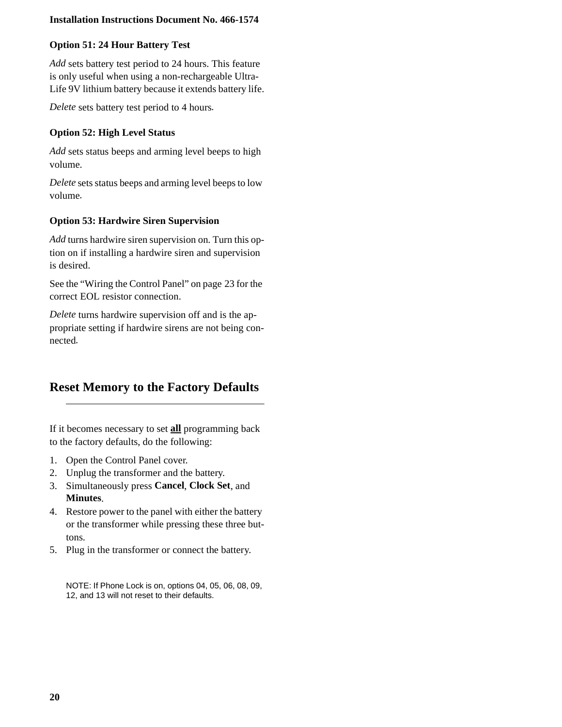### <span id="page-19-0"></span>**Installation Instructions Document No. 466-1574**.

### **Option 51: 24 Hour Battery Test**

*Add* sets battery test period to 24 hours. This feature is only useful when using a non-rechargeable Ultra-Life 9V lithium battery because it extends battery life.

*Delete* sets battery test period to 4 hours*.*

### **Option 52: High Level Status**

*Add* sets status beeps and arming level beeps to high volume.

*Delete* sets status beeps and arming level beeps to low volume*.*

### **Option 53: Hardwire Siren Supervision**

*Add* turns hardwire siren supervision on. Turn this option on if installing a hardwire siren and supervision is desired.

See the ["Wiring the Control Panel" on page 23](#page-22-0) for the correct EOL resistor connection.

*Delete* turns hardwire supervision off and is the appropriate setting if hardwire sirens are not being connected*.*

### **Reset Memory to the Factory Defaults**

If it becomes necessary to set **all** programming back to the factory defaults, do the following:

- 1. Open the Control Panel cover.
- 2. Unplug the transformer and the battery.
- 3. Simultaneously press **Cancel**, **Clock Set**, and **Minutes**.
- 4. Restore power to the panel with either the battery or the transformer while pressing these three buttons.
- 5. Plug in the transformer or connect the battery.

NOTE: If Phone Lock is on, options 04, 05, 06, 08, 09, 12, and 13 will not reset to their defaults.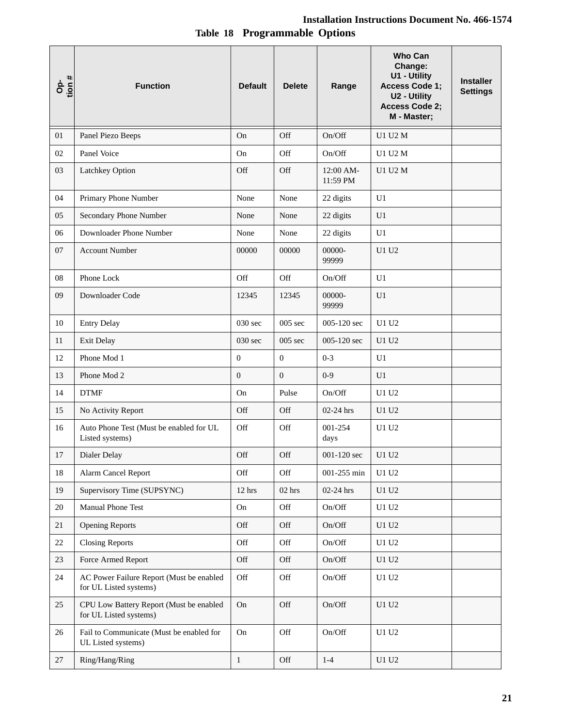### **Installation Instructions Document No. 466-1574 Table 18 Programmable Options**

<span id="page-20-0"></span>

| $rac{p}{100}$ # | <b>Function</b>                                                    | <b>Default</b> | <b>Delete</b> | Range                 | <b>Who Can</b><br>Change:<br>U1 - Utility<br><b>Access Code 1;</b><br>U2 - Utility<br><b>Access Code 2;</b><br>M - Master; | <b>Installer</b><br><b>Settings</b> |
|-----------------|--------------------------------------------------------------------|----------------|---------------|-----------------------|----------------------------------------------------------------------------------------------------------------------------|-------------------------------------|
| 01              | Panel Piezo Beeps                                                  | On             | Off           | On/Off                | <b>U1 U2 M</b>                                                                                                             |                                     |
| 02              | Panel Voice                                                        | On             | Off           | On/Off                | U1 U2 M                                                                                                                    |                                     |
| 03              | Latchkey Option                                                    | Off            | Off           | 12:00 AM-<br>11:59 PM | U1 U2 M                                                                                                                    |                                     |
| 04              | Primary Phone Number                                               | None           | None          | 22 digits             | U1                                                                                                                         |                                     |
| 05              | Secondary Phone Number                                             | None           | None          | 22 digits             | U1                                                                                                                         |                                     |
| 06              | Downloader Phone Number                                            | None           | None          | 22 digits             | U1                                                                                                                         |                                     |
| 07              | <b>Account Number</b>                                              | 00000          | 00000         | 00000-<br>99999       | U1 U2                                                                                                                      |                                     |
| ${\bf 08}$      | Phone Lock                                                         | Off            | Off           | On/Off                | U1                                                                                                                         |                                     |
| 09              | Downloader Code                                                    | 12345          | 12345         | 00000-<br>99999       | U1                                                                                                                         |                                     |
| 10              | <b>Entry Delay</b>                                                 | $030$ sec      | $005$ sec     | 005-120 sec           | U1 U2                                                                                                                      |                                     |
| 11              | Exit Delay                                                         | 030 sec        | $005$ sec     | 005-120 sec           | U1 U2                                                                                                                      |                                     |
| 12              | Phone Mod 1                                                        | $\overline{0}$ | $\mathbf{0}$  | $0 - 3$               | U1                                                                                                                         |                                     |
| 13              | Phone Mod 2                                                        | $\overline{0}$ | $\mathbf{0}$  | $0 - 9$               | U1                                                                                                                         |                                     |
| 14              | <b>DTMF</b>                                                        | On             | Pulse         | On/Off                | U1 U2                                                                                                                      |                                     |
| 15              | No Activity Report                                                 | Off            | Off           | $02-24$ hrs           | U1 U2                                                                                                                      |                                     |
| 16              | Auto Phone Test (Must be enabled for UL<br>Listed systems)         | Off            | Off           | 001-254<br>days       | U1 U2                                                                                                                      |                                     |
| 17              | Dialer Delay                                                       | Off            | Off           | 001-120 sec           | U1 U2                                                                                                                      |                                     |
| 18              | Alarm Cancel Report                                                | Off            | Off           | 001-255 min           | U1 U2                                                                                                                      |                                     |
| 19              | Supervisory Time (SUPSYNC)                                         | 12 hrs         | $02$ hrs      | 02-24 hrs             | U1 U2                                                                                                                      |                                     |
| $20\,$          | Manual Phone Test                                                  | On             | Off           | On/Off                | U1 U2                                                                                                                      |                                     |
| 21              | <b>Opening Reports</b>                                             | Off            | Off           | On/Off                | U1 U2                                                                                                                      |                                     |
| $22\,$          | <b>Closing Reports</b>                                             | Off            | Off           | On/Off                | U1 U2                                                                                                                      |                                     |
| 23              | Force Armed Report                                                 | Off            | Off           | On/Off                | U1 U2                                                                                                                      |                                     |
| 24              | AC Power Failure Report (Must be enabled<br>for UL Listed systems) | Off            | Off           | On/Off                | U1 U2                                                                                                                      |                                     |
| 25              | CPU Low Battery Report (Must be enabled<br>for UL Listed systems)  | On             | Off           | On/Off                | U1 U2                                                                                                                      |                                     |
| $26\,$          | Fail to Communicate (Must be enabled for<br>UL Listed systems)     | On             | Off           | On/Off                | U1 U2                                                                                                                      |                                     |
| $27\,$          | Ring/Hang/Ring                                                     | $\mathbf{1}$   | Off           | $1-4$                 | U1 U2                                                                                                                      |                                     |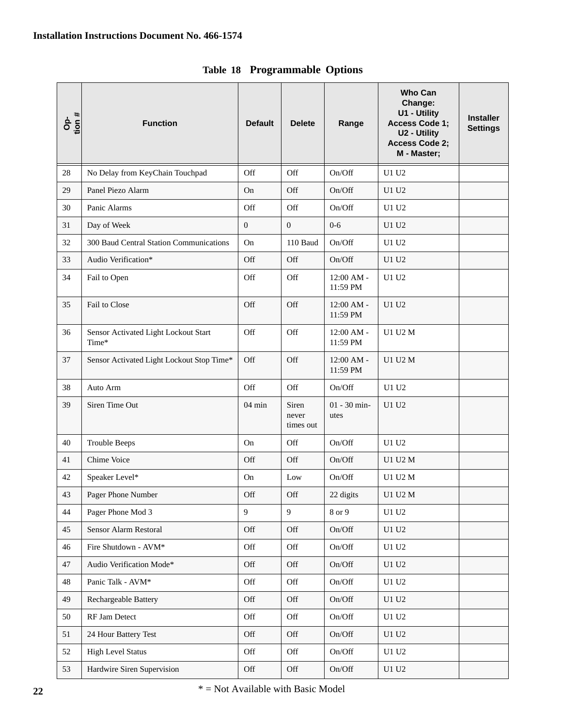<span id="page-21-0"></span>

| $rac{p}{100}$ # | <b>Function</b>                               | <b>Default</b> | <b>Delete</b>               | Range                      | <b>Who Can</b><br>Change:<br>U1 - Utility<br>Access Code 1;<br>U2 - Utility<br><b>Access Code 2;</b><br>M - Master; | <b>Installer</b><br><b>Settings</b> |
|-----------------|-----------------------------------------------|----------------|-----------------------------|----------------------------|---------------------------------------------------------------------------------------------------------------------|-------------------------------------|
| 28              | No Delay from KeyChain Touchpad               | Off            | Off                         | On/Off                     | U1 U2                                                                                                               |                                     |
| 29              | Panel Piezo Alarm                             | On             | Off                         | On/Off                     | U1 U2                                                                                                               |                                     |
| 30              | Panic Alarms                                  | Off            | Off                         | On/Off                     | U1 U2                                                                                                               |                                     |
| 31              | Day of Week                                   | $\overline{0}$ | $\overline{0}$              | $0 - 6$                    | U1 U2                                                                                                               |                                     |
| 32              | 300 Baud Central Station Communications       | On             | 110 Baud                    | On/Off                     | U1 U2                                                                                                               |                                     |
| 33              | Audio Verification*                           | Off            | Off                         | On/Off                     | U1 U2                                                                                                               |                                     |
| 34              | Fail to Open                                  | Off            | Off                         | $12:00$ AM -<br>11:59 PM   | U1 U2                                                                                                               |                                     |
| 35              | Fail to Close                                 | Off            | Off                         | $12:00 AM -$<br>11:59 PM   | U1 U2                                                                                                               |                                     |
| 36              | Sensor Activated Light Lockout Start<br>Time* | Off            | Off                         | $12:00$ AM -<br>11:59 PM   | U1 U2 M                                                                                                             |                                     |
| 37              | Sensor Activated Light Lockout Stop Time*     | Off            | Off                         | $12:00$ AM -<br>11:59 PM   | <b>U1 U2 M</b>                                                                                                      |                                     |
| 38              | Auto Arm                                      | Off            | Off                         | On/Off                     | U1 U2                                                                                                               |                                     |
| 39              | Siren Time Out                                | 04 min         | Siren<br>never<br>times out | $01 - 30$ min-<br>utes     | U1 U2                                                                                                               |                                     |
| 40              | <b>Trouble Beeps</b>                          | On             | Off                         | On/Off                     | U1 U2                                                                                                               |                                     |
| 41              | Chime Voice                                   | Off            | Off                         | On/Off                     | <b>U1 U2 M</b>                                                                                                      |                                     |
| 42              | Speaker Level*                                | On             | Low                         | On/Off                     | U1 U2 M                                                                                                             |                                     |
| 43              | Pager Phone Number                            | Off            | Off                         | 22 digits                  | U1 U2 M                                                                                                             |                                     |
| 44              | Pager Phone Mod 3                             | 9              | 9                           | 8 or 9                     | U1 U2                                                                                                               |                                     |
| 45              | Sensor Alarm Restoral                         | Off            | Off                         | On/Off                     | U1 U2                                                                                                               |                                     |
| 46              | Fire Shutdown - AVM*                          | Off            | Off                         | On/Off                     | U1 U2                                                                                                               |                                     |
| 47              | Audio Verification Mode*                      | Off            | Off                         | On/Off                     | U1 U2                                                                                                               |                                     |
| 48              | Panic Talk - AVM*                             | Off            | Off                         | On/Off                     | $\,$ U1 $\,$ U2 $\,$                                                                                                |                                     |
| 49              | Rechargeable Battery                          | Off            | Off                         | On/Off                     | U1 U2                                                                                                               |                                     |
| 50              | RF Jam Detect                                 | Off            | Off                         | On/Off                     | $\,$ U1 $\,$ U2 $\,$                                                                                                |                                     |
| 51              | 24 Hour Battery Test                          | Off            | Off                         | On/Off                     | U1 U2                                                                                                               |                                     |
| 52              | <b>High Level Status</b>                      | Off            | Off                         | $\mathrm{On}/\mathrm{Off}$ | <b>U1 U2</b>                                                                                                        |                                     |
| 53              | Hardwire Siren Supervision                    | Off            | Off                         | On/Off                     | $\rm U1~U2$                                                                                                         |                                     |

**Table 18 Programmable Options**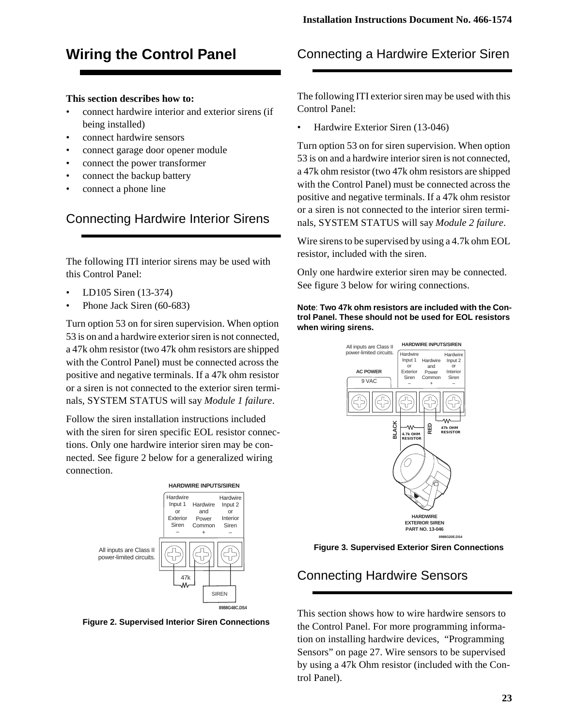## <span id="page-22-0"></span>**Wiring the Control Panel**

### **This section describes how to:**

- connect hardwire interior and exterior sirens (if being installed)
- connect hardwire sensors
- connect garage door opener module
- connect the power transformer
- connect the backup battery
- connect a phone line

## Connecting Hardwire Interior Sirens

The following ITI interior sirens may be used with this Control Panel:

- LD105 Siren (13-374)
- Phone Jack Siren (60-683)

Turn option 53 on for siren supervision. When option 53 is on and a hardwire exterior siren is not connected, a 47k ohm resistor (two 47k ohm resistors are shipped with the Control Panel) must be connected across the positive and negative terminals. If a 47k ohm resistor or a siren is not connected to the exterior siren terminals, SYSTEM STATUS will say *Module 1 failure*.

Follow the siren installation instructions included with the siren for siren specific EOL resistor connections. Only one hardwire interior siren may be connected. See figure 2 below for a generalized wiring connection.



**Figure 2. Supervised Interior Siren Connections**

### Connecting a Hardwire Exterior Siren

The following ITI exterior siren may be used with this Control Panel:

• Hardwire Exterior Siren (13-046)

Turn option 53 on for siren supervision. When option 53 is on and a hardwire interior siren is not connected, a 47k ohm resistor (two 47k ohm resistors are shipped with the Control Panel) must be connected across the positive and negative terminals. If a 47k ohm resistor or a siren is not connected to the interior siren terminals, SYSTEM STATUS will say *Module 2 failure*.

Wire sirens to be supervised by using a 4.7k ohm EOL resistor, included with the siren.

Only one hardwire exterior siren may be connected. See figure 3 below for wiring connections.

#### **Note**: **Two 47k ohm resistors are included with the Control Panel. These should not be used for EOL resistors when wiring sirens.**



**Figure 3. Supervised Exterior Siren Connections**

## Connecting Hardwire Sensors

This section shows how to wire hardwire sensors to the Control Panel. For more programming information on installing hardwire devices, ["Programming](#page-26-0)  [Sensors" on page 27](#page-26-0). Wire sensors to be supervised by using a 47k Ohm resistor (included with the Control Panel).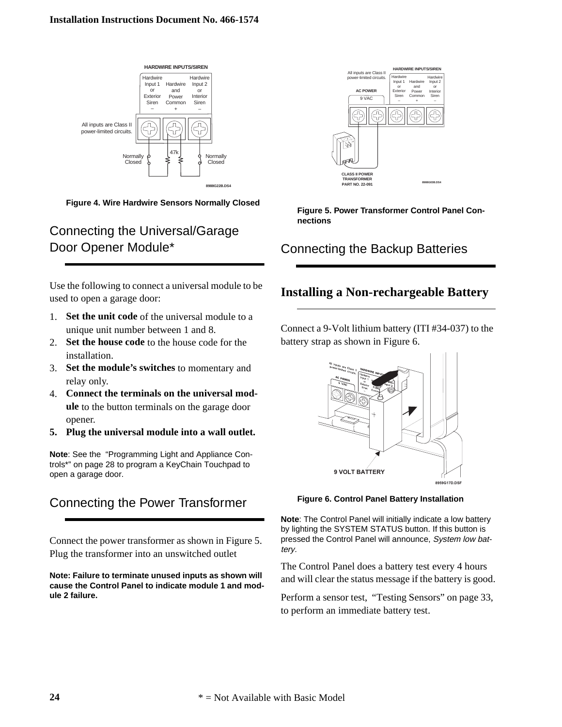<span id="page-23-0"></span>



## Connecting the Universal/Garage Door Opener Module\*

Use the following to connect a universal module to be used to open a garage door:

- 1. **Set the unit code** of the universal module to a unique unit number between 1 and 8.
- 2. **Set the house code** to the house code for the installation.
- 3. **Set the module's switches** to momentary and relay only.
- 4. **Connect the terminals on the universal module** to the button terminals on the garage door opener.
- **5. Plug the universal module into a wall outlet.**

**Note**: See the ["Programming Light and Appliance Con](#page-27-0)[trols\\*" on page 28](#page-27-0) to program a KeyChain Touchpad to open a garage door.

## Connecting the Power Transformer

Connect the power transformer as shown in Figure 5. Plug the transformer into an unswitched outlet

**Note: Failure to terminate unused inputs as shown will cause the Control Panel to indicate module 1 and module 2 failure.**



**Figure 5. Power Transformer Control Panel Connections**

## Connecting the Backup Batteries

### **Installing a Non-rechargeable Battery**

Connect a 9-Volt lithium battery (ITI #34-037) to the battery strap as shown in Figure 6.



**Figure 6. Control Panel Battery Installation**

**Note**: The Control Panel will initially indicate a low battery by lighting the SYSTEM STATUS button. If this button is pressed the Control Panel will announce, System low battery.

The Control Panel does a battery test every 4 hours and will clear the status message if the battery is good.

Perform a sensor test, ["Testing Sensors" on page 33,](#page-32-0) to perform an immediate battery test.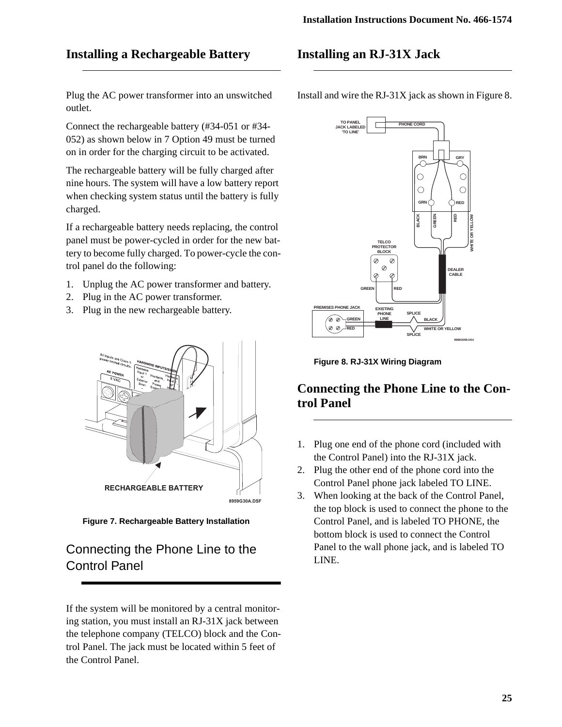### <span id="page-24-0"></span>**Installing a Rechargeable Battery**

Plug the AC power transformer into an unswitched outlet.

Connect the rechargeable battery (#34-051 or #34- 052) as shown below in 7 Option 49 must be turned on in order for the charging circuit to be activated.

The rechargeable battery will be fully charged after nine hours. The system will have a low battery report when checking system status until the battery is fully charged.

If a rechargeable battery needs replacing, the control panel must be power-cycled in order for the new battery to become fully charged. To power-cycle the control panel do the following:

- 1. Unplug the AC power transformer and battery.
- 2. Plug in the AC power transformer.
- 3. Plug in the new rechargeable battery.



**Figure 7. Rechargeable Battery Installation**

## Connecting the Phone Line to the Control Panel

If the system will be monitored by a central monitoring station, you must install an RJ-31X jack between the telephone company (TELCO) block and the Control Panel. The jack must be located within 5 feet of the Control Panel.

### **Installing an RJ-31X Jack**

Install and wire the RJ-31X jack as shown in Figure 8.



**Figure 8. RJ-31X Wiring Diagram**

## **Connecting the Phone Line to the Control Panel**

- 1. Plug one end of the phone cord (included with the Control Panel) into the RJ-31X jack.
- 2. Plug the other end of the phone cord into the Control Panel phone jack labeled TO LINE.
- 3. When looking at the back of the Control Panel, the top block is used to connect the phone to the Control Panel, and is labeled TO PHONE, the bottom block is used to connect the Control Panel to the wall phone jack, and is labeled TO LINE.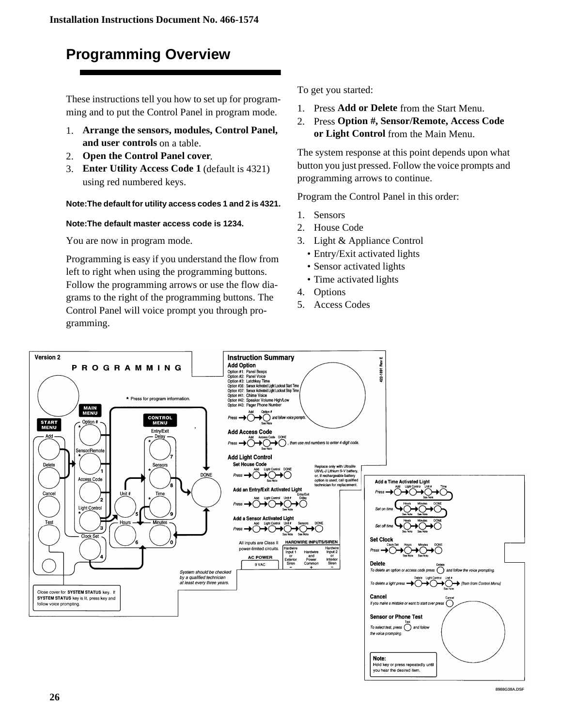## <span id="page-25-0"></span>**Programming Overview**

These instructions tell you how to set up for programming and to put the Control Panel in program mode.

- 1. **Arrange the sensors, modules, Control Panel, and user controls** on a table.
- 2. **Open the Control Panel cover**.
- 3. **Enter Utility Access Code 1** (default is 4321) using red numbered keys.

#### **Note:The default for utility access codes 1 and 2 is 4321.**

#### **Note:The default master access code is 1234.**

You are now in program mode.

Programming is easy if you understand the flow from left to right when using the programming buttons. Follow the programming arrows or use the flow diagrams to the right of the programming buttons. The Control Panel will voice prompt you through programming.

To get you started:

- 1. Press **Add or Delete** from the Start Menu.
- 2. Press **Option #, Sensor/Remote, Access Code or Light Control** from the Main Menu.

The system response at this point depends upon what button you just pressed. Follow the voice prompts and programming arrows to continue.

Program the Control Panel in this order:

- 1. Sensors
- 2. House Code
- 3. Light & Appliance Control
- Entry/Exit activated lights
- Sensor activated lights
- Time activated lights
- 4. Options
- 5. Access Codes



**8988G38A.DSF**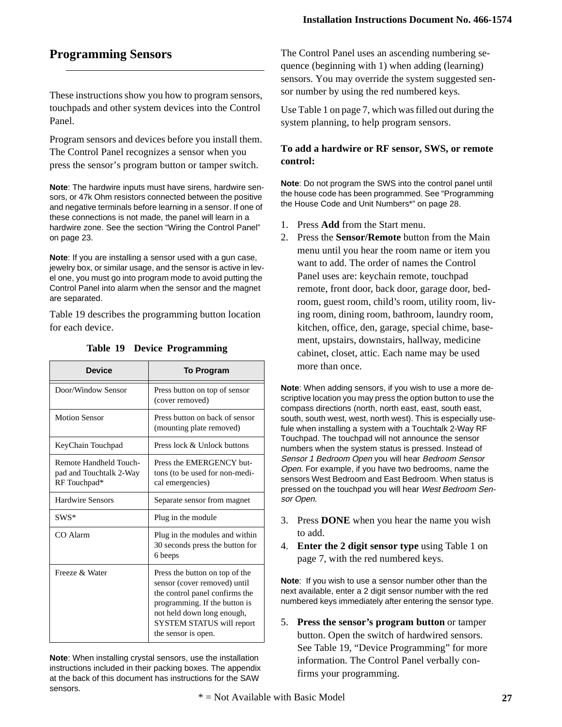## <span id="page-26-0"></span>**Programming Sensors**

These instructions show you how to program sensors, touchpads and other system devices into the Control Panel.

Program sensors and devices before you install them. The Control Panel recognizes a sensor when you press the sensor's program button or tamper switch.

**Note**: The hardwire inputs must have sirens, hardwire sensors, or 47k Ohm resistors connected between the positive and negative terminals before learning in a sensor. If one of these connections is not made, the panel will learn in a hardwire zone. See the sectio[n "Wiring the Control Panel"](#page-22-0)  [on page 23](#page-22-0).

**Note**: If you are installing a sensor used with a gun case, jewelry box, or similar usage, and the sensor is active in level one, you must go into program mode to avoid putting the Control Panel into alarm when the sensor and the magnet are separated.

Table 19 describes the programming button location for each device.

| <b>Device</b>                                                     | <b>To Program</b>                                                                                                                                                                                                          |
|-------------------------------------------------------------------|----------------------------------------------------------------------------------------------------------------------------------------------------------------------------------------------------------------------------|
| Door/Window Sensor                                                | Press button on top of sensor<br>(cover removed)                                                                                                                                                                           |
| <b>Motion Sensor</b>                                              | Press button on back of sensor<br>(mounting plate removed)                                                                                                                                                                 |
| KeyChain Touchpad                                                 | Press lock & Unlock buttons                                                                                                                                                                                                |
| Remote Handheld Touch-<br>pad and Touchtalk 2-Way<br>RF Touchpad* | Press the EMERGENCY but-<br>tons (to be used for non-medi-<br>cal emergencies)                                                                                                                                             |
| <b>Hardwire Sensors</b>                                           | Separate sensor from magnet                                                                                                                                                                                                |
| $SWS*$                                                            | Plug in the module                                                                                                                                                                                                         |
| CO Alarm                                                          | Plug in the modules and within<br>30 seconds press the button for<br>6 beeps                                                                                                                                               |
| Freeze & Water                                                    | Press the button on top of the<br>sensor (cover removed) until<br>the control panel confirms the<br>programming. If the button is<br>not held down long enough,<br><b>SYSTEM STATUS will report</b><br>the sensor is open. |

### **Table 19 Device Programming**

**Note**: When installing crystal sensors, use the installation instructions included in their packing boxes. The appendix at the back of this document has instructions for the SAW sensors.

The Control Panel uses an ascending numbering sequence (beginning with 1) when adding (learning) sensors. You may override the system suggested sensor number by using the red numbered keys.

Use [Table 1 on page 7,](#page-6-0) which was filled out during the system planning, to help program sensors.

### **To add a hardwire or RF sensor, SWS, or remote control:**

**Note**: Do not program the SWS into the control panel until the house code has been programmed. Se[e "Programming](#page-27-0)  [the House Code and Unit Numbers\\*" on page 2](#page-27-0)8.

- 1. Press **Add** from the Start menu.
- 2. Press the **Sensor/Remote** button from the Main menu until you hear the room name or item you want to add. The order of names the Control Panel uses are: keychain remote, touchpad remote, front door, back door, garage door, bedroom, guest room, child's room, utility room, living room, dining room, bathroom, laundry room, kitchen, office, den, garage, special chime, basement, upstairs, downstairs, hallway, medicine cabinet, closet, attic. Each name may be used more than once.

**Note**: When adding sensors, if you wish to use a more descriptive location you may press the option button to use the compass directions (north, north east, east, south east, south, south west, west, north west). This is especially usefule when installing a system with a Touchtalk 2-Way RF Touchpad. The touchpad will not announce the sensor numbers when the system status is pressed. Instead of Sensor 1 Bedroom Open you will hear Bedroom Sensor Open. For example, if you have two bedrooms, name the sensors West Bedroom and East Bedroom. When status is pressed on the touchpad you will hear West Bedroom Sensor Open.

- 3. Press **DONE** when you hear the name you wish to add.
- 4. **Enter the 2 digit sensor type** using [Table 1 on](#page-6-0)  [page 7,](#page-6-0) with the red numbered keys.

**Note**: If you wish to use a sensor number other than the next available, enter a 2 digit sensor number with the red numbered keys immediately after entering the sensor type.

5. **Press the sensor's program button** or tamper button. Open the switch of hardwired sensors. See Table 19, "Device Programming" for more information. The Control Panel verbally confirms your programming.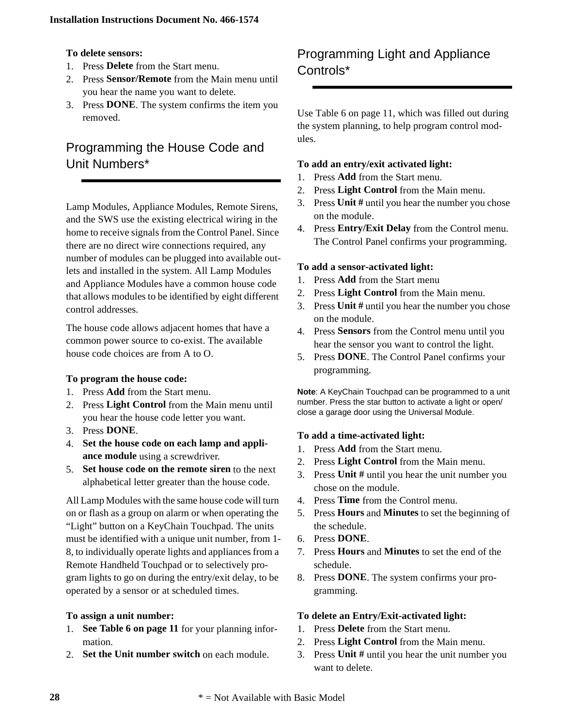### <span id="page-27-0"></span>**Installation Instructions Document No. 466-1574**.

#### **To delete sensors:**

- 1. Press **Delete** from the Start menu.
- 2. Press **Sensor/Remote** from the Main menu until you hear the name you want to delete.
- 3. Press **DONE**. The system confirms the item you removed.

## Programming the House Code and Unit Numbers\*

Lamp Modules, Appliance Modules, Remote Sirens, and the SWS use the existing electrical wiring in the home to receive signals from the Control Panel. Since there are no direct wire connections required, any number of modules can be plugged into available outlets and installed in the system. All Lamp Modules and Appliance Modules have a common house code that allows modules to be identified by eight different control addresses.

The house code allows adjacent homes that have a common power source to co-exist. The available house code choices are from A to O.

#### **To program the house code:**

- 1. Press **Add** from the Start menu.
- 2. Press **Light Control** from the Main menu until you hear the house code letter you want.
- 3. Press **DONE**.
- 4. **Set the house code on each lamp and appliance module** using a screwdriver.
- 5. **Set house code on the remote siren** to the next alphabetical letter greater than the house code.

All Lamp Modules with the same house code will turn on or flash as a group on alarm or when operating the "Light" button on a KeyChain Touchpad. The units must be identified with a unique unit number, from 1- 8, to individually operate lights and appliances from a Remote Handheld Touchpad or to selectively program lights to go on during the entry/exit delay, to be operated by a sensor or at scheduled times.

### **To assign a unit number:**

- 1. **See [Table 6 on page 11](#page-10-0)** for your planning information.
- 2. **Set the Unit number switch** on each module.

## Programming Light and Appliance Controls\*

Use [Table 6 on page 11](#page-10-0), which was filled out during the system planning, to help program control modules.

#### **To add an entry/exit activated light:**

- 1. Press **Add** from the Start menu.
- 2. Press **Light Control** from the Main menu.
- 3. Press **Unit #** until you hear the number you chose on the module.
- 4. Press **Entry/Exit Delay** from the Control menu. The Control Panel confirms your programming.

#### **To add a sensor-activated light:**

- 1. Press **Add** from the Start menu
- 2. Press **Light Control** from the Main menu.
- 3. Press **Unit #** until you hear the number you chose on the module.
- 4. Press **Sensors** from the Control menu until you hear the sensor you want to control the light.
- 5. Press **DONE**. The Control Panel confirms your programming.

**Note**: A KeyChain Touchpad can be programmed to a unit number. Press the star button to activate a light or open/ close a garage door using the Universal Module.

#### **To add a time-activated light:**

- 1. Press **Add** from the Start menu.
- 2. Press **Light Control** from the Main menu.
- 3. Press **Unit #** until you hear the unit number you chose on the module.
- 4. Press **Time** from the Control menu.
- 5. Press **Hours** and **Minutes** to set the beginning of the schedule.
- 6. Press **DONE**.
- 7. Press **Hours** and **Minutes** to set the end of the schedule.
- 8. Press **DONE**. The system confirms your programming.

### **To delete an Entry/Exit-activated light:**

- 1. Press **Delete** from the Start menu.
- 2. Press **Light Control** from the Main menu.
- 3. Press **Unit #** until you hear the unit number you want to delete.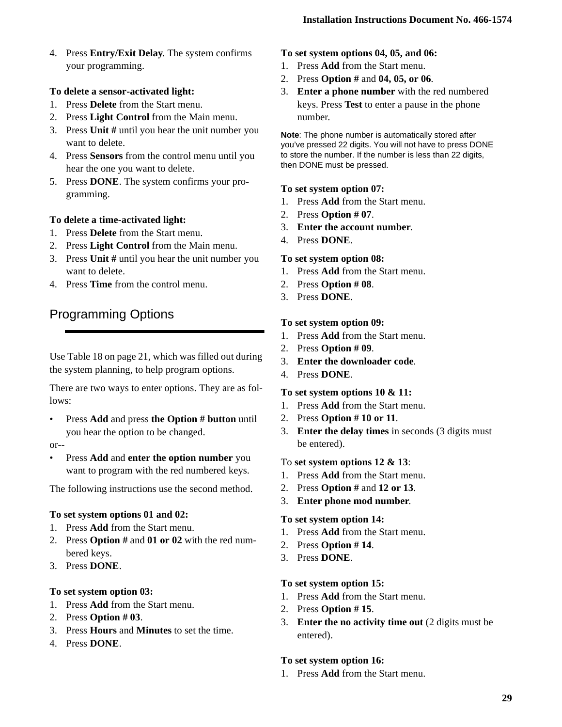<span id="page-28-0"></span>4. Press **Entry/Exit Delay**. The system confirms your programming.

### **To delete a sensor-activated light:**

- 1. Press **Delete** from the Start menu.
- 2. Press **Light Control** from the Main menu.
- 3. Press **Unit #** until you hear the unit number you want to delete.
- 4. Press **Sensors** from the control menu until you hear the one you want to delete.
- 5. Press **DONE**. The system confirms your programming.

### **To delete a time-activated light:**

- 1. Press **Delete** from the Start menu.
- 2. Press **Light Control** from the Main menu.
- 3. Press **Unit #** until you hear the unit number you want to delete.
- 4. Press **Time** from the control menu.

## Programming Options

Use [Table 18 on page 21,](#page-20-0) which was filled out during the system planning, to help program options.

There are two ways to enter options. They are as follows:

• Press **Add** and press **the Option # button** until you hear the option to be changed.

or--

• Press **Add** and **enter the option number** you want to program with the red numbered keys.

The following instructions use the second method.

### **To set system options 01 and 02:**

- 1. Press **Add** from the Start menu.
- 2. Press **Option #** and **01 or 02** with the red numbered keys.
- 3. Press **DONE**.

### **To set system option 03:**

- 1. Press **Add** from the Start menu.
- 2. Press **Option # 03**.
- 3. Press **Hours** and **Minutes** to set the time.
- 4. Press **DONE**.

### **To set system options 04, 05, and 06:**

- 1. Press **Add** from the Start menu.
- 2. Press **Option #** and **04, 05, or 06**.
- 3. **Enter a phone number** with the red numbered keys. Press **Test** to enter a pause in the phone number.

**Note**: The phone number is automatically stored after you've pressed 22 digits. You will not have to press DONE to store the number. If the number is less than 22 digits, then DONE must be pressed.

### **To set system option 07:**

- 1. Press **Add** from the Start menu.
- 2. Press **Option # 07**.
- 3. **Enter the account number**.
- 4. Press **DONE**.

### **To set system option 08:**

- 1. Press **Add** from the Start menu.
- 2. Press **Option # 08**.
- 3. Press **DONE**.

### **To set system option 09:**

- 1. Press **Add** from the Start menu.
- 2. Press **Option # 09**.
- 3. **Enter the downloader code**.
- 4. Press **DONE**.

### **To set system options 10 & 11:**

- 1. Press **Add** from the Start menu.
- 2. Press **Option # 10 or 11**.
- 3. **Enter the delay times** in seconds (3 digits must be entered).

### To **set system options 12 & 13**:

- 1. Press **Add** from the Start menu.
- 2. Press **Option #** and **12 or 13**.
- 3. **Enter phone mod number**.

### **To set system option 14:**

- 1. Press **Add** from the Start menu.
- 2. Press **Option # 14**.
- 3. Press **DONE**.

### **To set system option 15:**

- 1. Press **Add** from the Start menu.
- 2. Press **Option # 15**.
- 3. **Enter the no activity time out** (2 digits must be entered).

#### **To set system option 16:**

1. Press **Add** from the Start menu.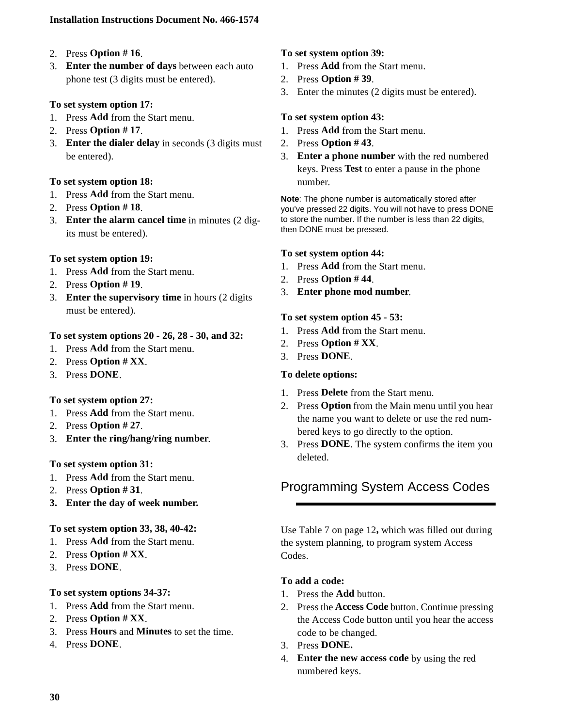### <span id="page-29-0"></span>**Installation Instructions Document No. 466-1574**.

- 2. Press **Option # 16**.
- 3. **Enter the number of days** between each auto phone test (3 digits must be entered).

### **To set system option 17:**

- 1. Press **Add** from the Start menu.
- 2. Press **Option # 17**.
- 3. **Enter the dialer delay** in seconds (3 digits must be entered).

### **To set system option 18:**

- 1. Press **Add** from the Start menu.
- 2. Press **Option # 18**.
- 3. **Enter the alarm cancel time** in minutes (2 digits must be entered).

### **To set system option 19:**

- 1. Press **Add** from the Start menu.
- 2. Press **Option # 19**.
- 3. **Enter the supervisory time** in hours (2 digits must be entered).

### **To set system options 20 - 26, 28 - 30, and 32:**

- 1. Press **Add** from the Start menu.
- 2. Press **Option # XX**.
- 3. Press **DONE**.

### **To set system option 27:**

- 1. Press **Add** from the Start menu.
- 2. Press **Option # 27**.
- 3. **Enter the ring/hang/ring number**.

### **To set system option 31:**

- 1. Press **Add** from the Start menu.
- 2. Press **Option # 31**.
- **3. Enter the day of week number.**

### **To set system option 33, 38, 40-42:**

- 1. Press **Add** from the Start menu.
- 2. Press **Option # XX**.
- 3. Press **DONE**.

### **To set system options 34-37:**

- 1. Press **Add** from the Start menu.
- 2. Press **Option # XX**.
- 3. Press **Hours** and **Minutes** to set the time.
- 4. Press **DONE**.

#### **To set system option 39:**

- 1. Press **Add** from the Start menu.
- 2. Press **Option # 39**.
- 3. Enter the minutes (2 digits must be entered).

### **To set system option 43:**

- 1. Press **Add** from the Start menu.
- 2. Press **Option # 43**.
- 3. **Enter a phone number** with the red numbered keys. Press **Test** to enter a pause in the phone number.

**Note**: The phone number is automatically stored after you've pressed 22 digits. You will not have to press DONE to store the number. If the number is less than 22 digits, then DONE must be pressed.

#### **To set system option 44:**

- 1. Press **Add** from the Start menu.
- 2. Press **Option # 44**.
- 3. **Enter phone mod number**.

#### **To set system option 45 - 53:**

- 1. Press **Add** from the Start menu.
- 2. Press **Option # XX**.
- 3. Press **DONE**.

### **To delete options:**

- 1. Press **Delete** from the Start menu.
- 2. Press **Option** from the Main menu until you hear the name you want to delete or use the red numbered keys to go directly to the option.
- 3. Press **DONE**. The system confirms the item you deleted.

## Programming System Access Codes

Use [Table 7 on page 12](#page-11-0)**,** which was filled out during the system planning, to program system Access Codes.

### **To add a code:**

- 1. Press the **Add** button.
- 2. Press the **Access Code** button. Continue pressing the Access Code button until you hear the access code to be changed.
- 3. Press **DONE.**
- 4. **Enter the new access code** by using the red numbered keys.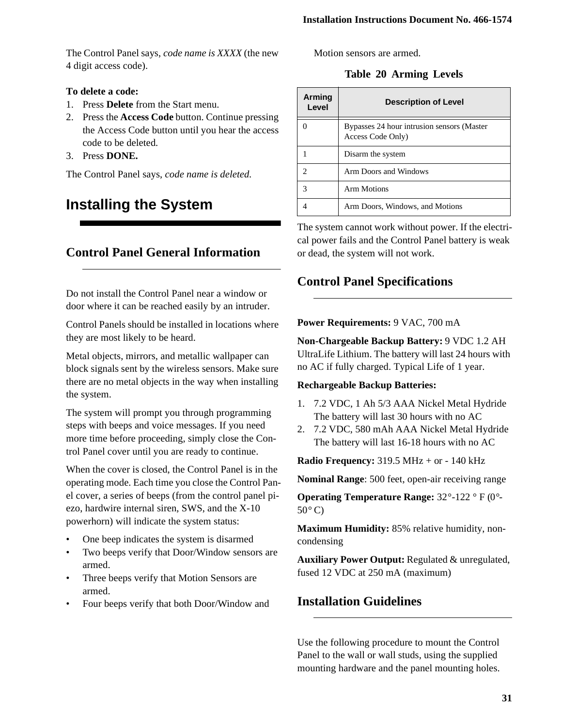<span id="page-30-0"></span>The Control Panel says, *code name is XXXX* (the new 4 digit access code).

### **To delete a code:**

- 1. Press **Delete** from the Start menu.
- 2. Press the **Access Code** button. Continue pressing the Access Code button until you hear the access code to be deleted.
- 3. Press **DONE.**

The Control Panel says, *code name is deleted.*

## **Installing the System**

### **Control Panel General Information**

Do not install the Control Panel near a window or door where it can be reached easily by an intruder.

Control Panels should be installed in locations where they are most likely to be heard.

Metal objects, mirrors, and metallic wallpaper can block signals sent by the wireless sensors. Make sure there are no metal objects in the way when installing the system.

The system will prompt you through programming steps with beeps and voice messages. If you need more time before proceeding, simply close the Control Panel cover until you are ready to continue.

When the cover is closed, the Control Panel is in the operating mode. Each time you close the Control Panel cover, a series of beeps (from the control panel piezo, hardwire internal siren, SWS, and the X-10 powerhorn) will indicate the system status:

- One beep indicates the system is disarmed
- Two beeps verify that Door/Window sensors are armed.
- Three beeps verify that Motion Sensors are armed.
- Four beeps verify that both Door/Window and

Motion sensors are armed.

**Table 20 Arming Levels**

| <b>Arming</b><br>Level | <b>Description of Level</b>                                      |
|------------------------|------------------------------------------------------------------|
|                        | Bypasses 24 hour intrusion sensors (Master)<br>Access Code Only) |
|                        | Disarm the system                                                |
|                        | Arm Doors and Windows                                            |
| 3                      | Arm Motions                                                      |
|                        | Arm Doors, Windows, and Motions                                  |

The system cannot work without power. If the electrical power fails and the Control Panel battery is weak or dead, the system will not work.

## **Control Panel Specifications**

### **Power Requirements:** 9 VAC, 700 mA

**Non-Chargeable Backup Battery:** 9 VDC 1.2 AH UltraLife Lithium. The battery will last 24 hours with no AC if fully charged. Typical Life of 1 year.

### **Rechargeable Backup Batteries:**

- 1. 7.2 VDC, 1 Ah 5/3 AAA Nickel Metal Hydride The battery will last 30 hours with no AC
- 2. 7.2 VDC, 580 mAh AAA Nickel Metal Hydride The battery will last 16-18 hours with no AC

**Radio Frequency:** 319.5 MHz + or - 140 kHz

**Nominal Range**: 500 feet, open-air receiving range

**Operating Temperature Range:** 32°-122 ° F (0°-  $50^{\circ}$  C)

**Maximum Humidity:** 85% relative humidity, noncondensing

**Auxiliary Power Output:** Regulated & unregulated, fused 12 VDC at 250 mA (maximum)

### **Installation Guidelines**

Use the following procedure to mount the Control Panel to the wall or wall studs, using the supplied mounting hardware and the panel mounting holes.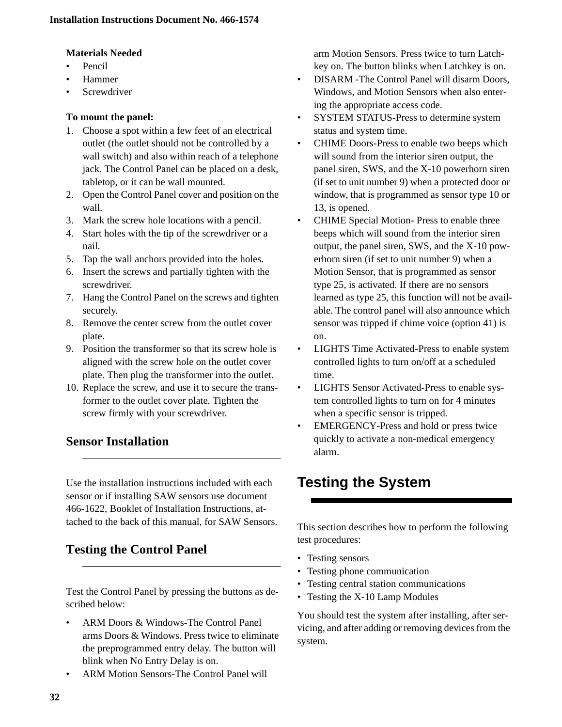### <span id="page-31-0"></span>**Materials Needed**

- Pencil
- Hammer
- Screwdriver

### **To mount the panel:**

- 1. Choose a spot within a few feet of an electrical outlet (the outlet should not be controlled by a wall switch) and also within reach of a telephone jack. The Control Panel can be placed on a desk, tabletop, or it can be wall mounted.
- 2. Open the Control Panel cover and position on the wall.
- 3. Mark the screw hole locations with a pencil.
- 4. Start holes with the tip of the screwdriver or a nail.
- 5. Tap the wall anchors provided into the holes.
- 6. Insert the screws and partially tighten with the screwdriver.
- 7. Hang the Control Panel on the screws and tighten securely.
- 8. Remove the center screw from the outlet cover plate.
- 9. Position the transformer so that its screw hole is aligned with the screw hole on the outlet cover plate. Then plug the transformer into the outlet.
- 10. Replace the screw, and use it to secure the transformer to the outlet cover plate. Tighten the screw firmly with your screwdriver.

### **Sensor Installation**

Use the installation instructions included with each sensor or if installing SAW sensors use document 466-1622, Booklet of Installation Instructions, attached to the back of this manual, for SAW Sensors.

## **Testing the Control Panel**

Test the Control Panel by pressing the buttons as described below:

- ARM Doors & Windows-The Control Panel arms Doors & Windows. Press twice to eliminate the preprogrammed entry delay. The button will blink when No Entry Delay is on.
- ARM Motion Sensors-The Control Panel will

arm Motion Sensors. Press twice to turn Latchkey on. The button blinks when Latchkey is on.

- DISARM -The Control Panel will disarm Doors, Windows, and Motion Sensors when also entering the appropriate access code.
- SYSTEM STATUS-Press to determine system status and system time.
- CHIME Doors-Press to enable two beeps which will sound from the interior siren output, the panel siren, SWS, and the X-10 powerhorn siren (if set to unit number 9) when a protected door or window, that is programmed as sensor type 10 or 13, is opened.
- CHIME Special Motion- Press to enable three beeps which will sound from the interior siren output, the panel siren, SWS, and the X-10 powerhorn siren (if set to unit number 9) when a Motion Sensor, that is programmed as sensor type 25, is activated. If there are no sensors learned as type 25, this function will not be available. The control panel will also announce which sensor was tripped if chime voice (option 41) is on.
- LIGHTS Time Activated-Press to enable system controlled lights to turn on/off at a scheduled time.
- LIGHTS Sensor Activated-Press to enable system controlled lights to turn on for 4 minutes when a specific sensor is tripped.
- EMERGENCY-Press and hold or press twice quickly to activate a non-medical emergency alarm.

## **Testing the System**

This section describes how to perform the following test procedures:

- Testing sensors
- Testing phone communication
- Testing central station communications
- Testing the X-10 Lamp Modules

You should test the system after installing, after servicing, and after adding or removing devices from the system.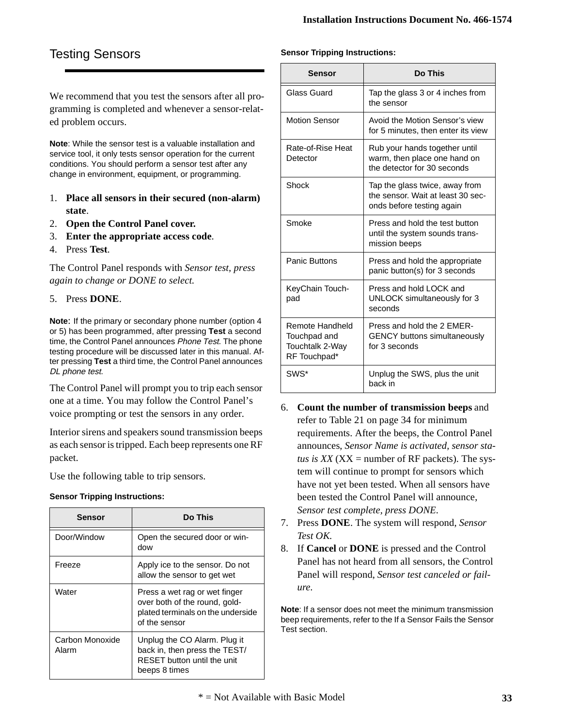## <span id="page-32-0"></span>Testing Sensors

We recommend that you test the sensors after all programming is completed and whenever a sensor-related problem occurs.

**Note**: While the sensor test is a valuable installation and service tool, it only tests sensor operation for the current conditions. You should perform a sensor test after any change in environment, equipment, or programming.

- 1. **Place all sensors in their secured (non-alarm) state**.
- 2. **Open the Control Panel cover.**
- 3. **Enter the appropriate access code**.
- 4. Press **Test**.

The Control Panel responds with *Sensor test, press again to change or DONE to select.*

5. Press **DONE**.

**Note**: If the primary or secondary phone number (option 4 or 5) has been programmed, after pressing **Test** a second time, the Control Panel announces Phone Test. The phone testing procedure will be discussed later in this manual. After pressing **Test** a third time, the Control Panel announces DL phone test.

The Control Panel will prompt you to trip each sensor one at a time. You may follow the Control Panel's voice prompting or test the sensors in any order.

Interior sirens and speakers sound transmission beeps as each sensor is tripped. Each beep represents one RF packet.

Use the following table to trip sensors.

#### **Sensor Tripping Instructions:**

| <b>Sensor</b>            | Do This                                                                                                              |
|--------------------------|----------------------------------------------------------------------------------------------------------------------|
| Door/Window              | Open the secured door or win-<br>dow                                                                                 |
| Freeze                   | Apply ice to the sensor. Do not<br>allow the sensor to get wet                                                       |
| Water                    | Press a wet rag or wet finger<br>over both of the round, gold-<br>plated terminals on the underside<br>of the sensor |
| Carbon Monoxide<br>Alarm | Unplug the CO Alarm. Plug it<br>back in, then press the TEST/<br>RESET button until the unit<br>beeps 8 times        |

#### **Sensor Tripping Instructions:**

| Sensor                                                             | Do This                                                                                          |
|--------------------------------------------------------------------|--------------------------------------------------------------------------------------------------|
| Glass Guard                                                        | Tap the glass 3 or 4 inches from<br>the sensor                                                   |
| <b>Motion Sensor</b>                                               | Avoid the Motion Sensor's view<br>for 5 minutes, then enter its view                             |
| Rate-of-Rise Heat<br>Detector                                      | Rub your hands together until<br>warm, then place one hand on<br>the detector for 30 seconds     |
| Shock                                                              | Tap the glass twice, away from<br>the sensor. Wait at least 30 sec-<br>onds before testing again |
| Smoke                                                              | Press and hold the test button<br>until the system sounds trans-<br>mission beeps                |
| Panic Buttons                                                      | Press and hold the appropriate<br>panic button(s) for 3 seconds                                  |
| KeyChain Touch-<br>pad                                             | Press and hold LOCK and<br>UNLOCK simultaneously for 3<br>seconds                                |
| Remote Handheld<br>Touchpad and<br>Touchtalk 2-Way<br>RF Touchpad* | Press and hold the 2 EMER-<br><b>GENCY buttons simultaneously</b><br>for 3 seconds               |
| SWS*                                                               | Unplug the SWS, plus the unit<br>back in                                                         |

### 6. **Count the number of transmission beeps** and refer to [Table 21 on page 34](#page-33-0) for minimum requirements. After the beeps, the Control Panel announces, *Sensor Name is activated, sensor status is XX* ( $XX =$  number of RF packets). The system will continue to prompt for sensors which have not yet been tested. When all sensors have been tested the Control Panel will announce, *Sensor test complete, press DONE.*

- 7. Press **DONE**. The system will respond, *Sensor Test OK.*
- 8. If **Cancel** or **DONE** is pressed and the Control Panel has not heard from all sensors, the Control Panel will respond, *Sensor test canceled or failure.*

**Note**: If a sensor does not meet the minimum transmission beep requirements, refer to the If a Sensor Fails the Sensor Test section.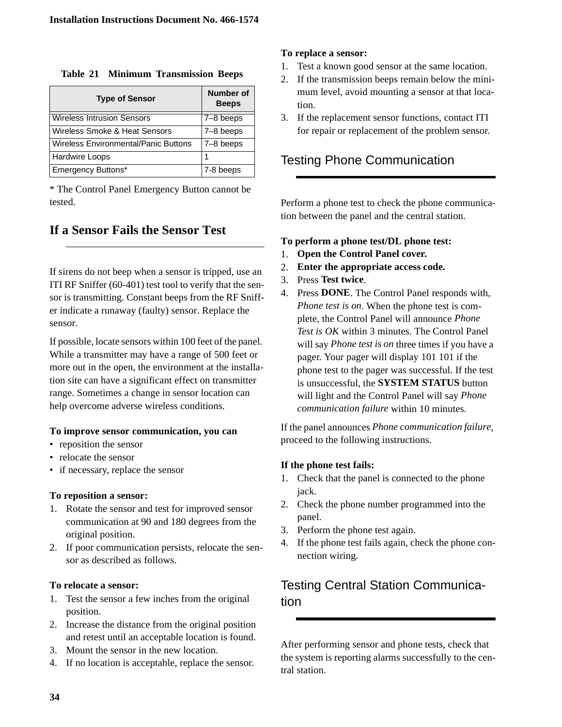<span id="page-33-0"></span>

| <b>Table 21 Minimum Transmission Beeps</b> |  |  |
|--------------------------------------------|--|--|
|--------------------------------------------|--|--|

| <b>Type of Sensor</b>                | <b>Number of</b><br><b>Beeps</b> |
|--------------------------------------|----------------------------------|
| <b>Wireless Intrusion Sensors</b>    | 7-8 beeps                        |
| Wireless Smoke & Heat Sensors        | 7-8 beeps                        |
| Wireless Environmental/Panic Buttons | 7-8 beeps                        |
| Hardwire Loops                       |                                  |
| Emergency Buttons*                   | 7-8 beeps                        |

\* The Control Panel Emergency Button cannot be tested.

### **If a Sensor Fails the Sensor Test**

If sirens do not beep when a sensor is tripped, use an ITI RF Sniffer (60-401) test tool to verify that the sensor is transmitting. Constant beeps from the RF Sniffer indicate a runaway (faulty) sensor. Replace the sensor.

If possible, locate sensors within 100 feet of the panel. While a transmitter may have a range of 500 feet or more out in the open, the environment at the installation site can have a significant effect on transmitter range. Sometimes a change in sensor location can help overcome adverse wireless conditions.

### **To improve sensor communication, you can**

- reposition the sensor
- relocate the sensor
- if necessary, replace the sensor

### **To reposition a sensor:**

- 1. Rotate the sensor and test for improved sensor communication at 90 and 180 degrees from the original position.
- 2. If poor communication persists, relocate the sensor as described as follows.

### **To relocate a sensor:**

- 1. Test the sensor a few inches from the original position.
- 2. Increase the distance from the original position and retest until an acceptable location is found.
- 3. Mount the sensor in the new location.
- 4. If no location is acceptable, replace the sensor.

#### **To replace a sensor:**

- 1. Test a known good sensor at the same location.
- 2. If the transmission beeps remain below the minimum level, avoid mounting a sensor at that location.
- 3. If the replacement sensor functions, contact ITI for repair or replacement of the problem sensor.

## Testing Phone Communication

Perform a phone test to check the phone communication between the panel and the central station.

### **To perform a phone test/DL phone test:**

- 1. **Open the Control Panel cover.**
- 2. **Enter the appropriate access code.**
- 3. Press **Test twice**.
- 4. Press **DONE**. The Control Panel responds with, *Phone test is on*. When the phone test is complete, the Control Panel will announce *Phone Test is OK* within 3 minutes. The Control Panel will say *Phone test is on* three times if you have a pager. Your pager will display 101 101 if the phone test to the pager was successful. If the test is unsuccessful, the **SYSTEM STATUS** button will light and the Control Panel will say *Phone communication failure* within 10 minutes.

If the panel announces *Phone communication failure*, proceed to the following instructions.

### **If the phone test fails:**

- 1. Check that the panel is connected to the phone jack.
- 2. Check the phone number programmed into the panel.
- 3. Perform the phone test again.
- 4. If the phone test fails again, check the phone connection wiring.

## Testing Central Station Communication

After performing sensor and phone tests, check that the system is reporting alarms successfully to the central station.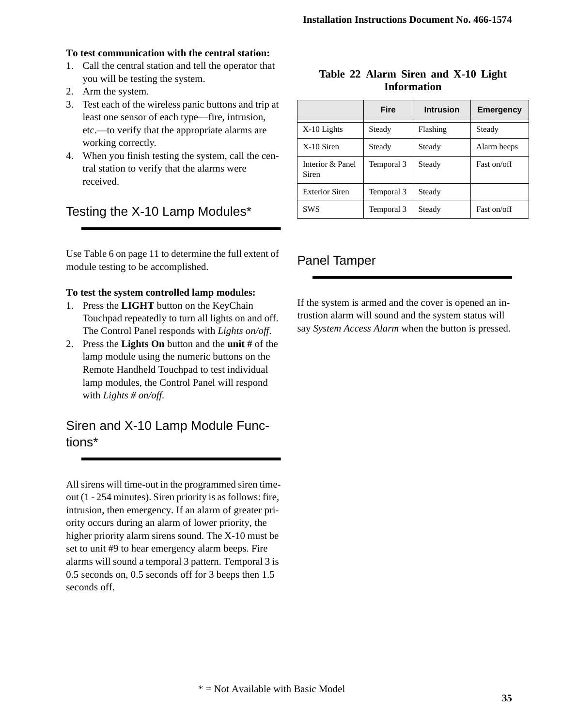### <span id="page-34-0"></span>**To test communication with the central station:**

- 1. Call the central station and tell the operator that you will be testing the system.
- 2. Arm the system.
- 3. Test each of the wireless panic buttons and trip at least one sensor of each type—fire, intrusion, etc.—to verify that the appropriate alarms are working correctly.
- 4. When you finish testing the system, call the central station to verify that the alarms were received.

## Testing the X-10 Lamp Modules\*

Use [Table 6 on page 11](#page-10-0) to determine the full extent of module testing to be accomplished.

### **To test the system controlled lamp modules:**

- 1. Press the **LIGHT** button on the KeyChain Touchpad repeatedly to turn all lights on and off. The Control Panel responds with *Lights on/off*.
- 2. Press the **Lights On** button and the **unit #** of the lamp module using the numeric buttons on the Remote Handheld Touchpad to test individual lamp modules, the Control Panel will respond with *Lights # on/off*.

## Siren and X-10 Lamp Module Functions\*

All sirens will time-out in the programmed siren timeout (1 - 254 minutes). Siren priority is as follows: fire, intrusion, then emergency. If an alarm of greater priority occurs during an alarm of lower priority, the higher priority alarm sirens sound. The X-10 must be set to unit #9 to hear emergency alarm beeps. Fire alarms will sound a temporal 3 pattern. Temporal 3 is 0.5 seconds on, 0.5 seconds off for 3 beeps then 1.5 seconds off.

### **Table 22 Alarm Siren and X-10 Light Information**

|                           | <b>Fire</b> | <b>Intrusion</b> | <b>Emergency</b> |
|---------------------------|-------------|------------------|------------------|
| X-10 Lights               | Steady      | Flashing         | Steady           |
| $X-10$ Siren              | Steady      | Steady           | Alarm beeps      |
| Interior & Panel<br>Siren | Temporal 3  | Steady           | Fast on/off      |
| <b>Exterior Siren</b>     | Temporal 3  | Steady           |                  |
| <b>SWS</b>                | Temporal 3  | Steady           | Fast on/off      |

## Panel Tamper

If the system is armed and the cover is opened an intrustion alarm will sound and the system status will say *System Access Alarm* when the button is pressed*.*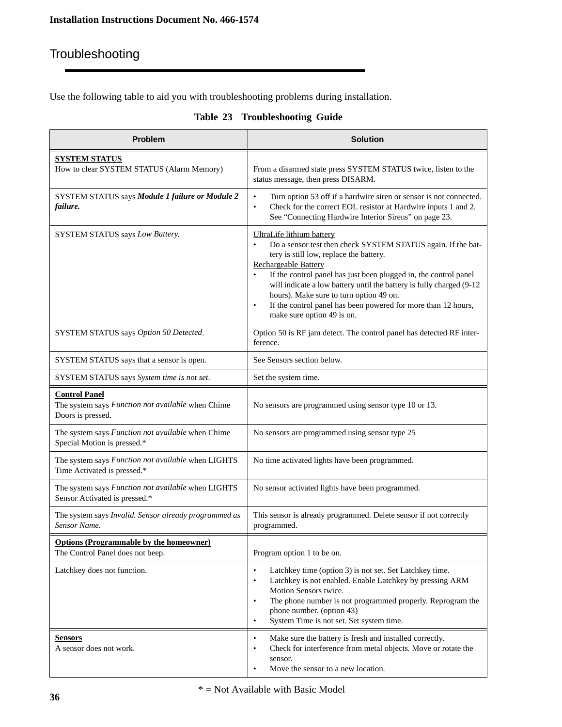## <span id="page-35-0"></span>**Troubleshooting**

Use the following table to aid you with troubleshooting problems during installation.

|  |  | <b>Table 23 Troubleshooting Guide</b> |  |
|--|--|---------------------------------------|--|
|--|--|---------------------------------------|--|

| <b>Problem</b>                                                                                 | <b>Solution</b>                                                                                                                                                                                                                                                                                                                                                                                                                                                                     |
|------------------------------------------------------------------------------------------------|-------------------------------------------------------------------------------------------------------------------------------------------------------------------------------------------------------------------------------------------------------------------------------------------------------------------------------------------------------------------------------------------------------------------------------------------------------------------------------------|
| <b>SYSTEM STATUS</b><br>How to clear SYSTEM STATUS (Alarm Memory)                              | From a disarmed state press SYSTEM STATUS twice, listen to the<br>status message, then press DISARM.                                                                                                                                                                                                                                                                                                                                                                                |
| SYSTEM STATUS says Module 1 failure or Module 2<br>failure.                                    | Turn option 53 off if a hardwire siren or sensor is not connected.<br>$\bullet$<br>Check for the correct EOL resistor at Hardwire inputs 1 and 2.<br>$\bullet$<br>See "Connecting Hardwire Interior Sirens" on page 23.                                                                                                                                                                                                                                                             |
| SYSTEM STATUS says Low Battery.                                                                | UltraLife lithium battery<br>Do a sensor test then check SYSTEM STATUS again. If the bat-<br>$\bullet$<br>tery is still low, replace the battery.<br><b>Rechargeable Battery</b><br>If the control panel has just been plugged in, the control panel<br>$\bullet$<br>will indicate a low battery until the battery is fully charged (9-12<br>hours). Make sure to turn option 49 on.<br>If the control panel has been powered for more than 12 hours,<br>make sure option 49 is on. |
| SYSTEM STATUS says Option 50 Detected.                                                         | Option 50 is RF jam detect. The control panel has detected RF inter-<br>ference.                                                                                                                                                                                                                                                                                                                                                                                                    |
| SYSTEM STATUS says that a sensor is open.                                                      | See Sensors section below.                                                                                                                                                                                                                                                                                                                                                                                                                                                          |
| SYSTEM STATUS says System time is not set.                                                     | Set the system time.                                                                                                                                                                                                                                                                                                                                                                                                                                                                |
| <b>Control Panel</b><br>The system says Function not available when Chime<br>Doors is pressed. | No sensors are programmed using sensor type 10 or 13.                                                                                                                                                                                                                                                                                                                                                                                                                               |
| The system says Function not available when Chime<br>Special Motion is pressed.*               | No sensors are programmed using sensor type 25                                                                                                                                                                                                                                                                                                                                                                                                                                      |
| The system says Function not available when LIGHTS<br>Time Activated is pressed.*              | No time activated lights have been programmed.                                                                                                                                                                                                                                                                                                                                                                                                                                      |
| The system says Function not available when LIGHTS<br>Sensor Activated is pressed.*            | No sensor activated lights have been programmed.                                                                                                                                                                                                                                                                                                                                                                                                                                    |
| The system says Invalid. Sensor already programmed as<br>Sensor Name.                          | This sensor is already programmed. Delete sensor if not correctly<br>programmed.                                                                                                                                                                                                                                                                                                                                                                                                    |
| <b>Options (Programmable by the homeowner)</b><br>The Control Panel does not beep.             | Program option 1 to be on.                                                                                                                                                                                                                                                                                                                                                                                                                                                          |
| Latchkey does not function.                                                                    | Latchkey time (option 3) is not set. Set Latchkey time.<br>$\bullet$<br>Latchkey is not enabled. Enable Latchkey by pressing ARM<br>$\bullet$<br>Motion Sensors twice.<br>The phone number is not programmed properly. Reprogram the<br>$\bullet$<br>phone number. (option 43)<br>System Time is not set. Set system time.<br>$\bullet$                                                                                                                                             |
| <b>Sensors</b><br>A sensor does not work.                                                      | Make sure the battery is fresh and installed correctly.<br>$\bullet$<br>Check for interference from metal objects. Move or rotate the<br>$\bullet$<br>sensor.<br>Move the sensor to a new location.<br>$\bullet$                                                                                                                                                                                                                                                                    |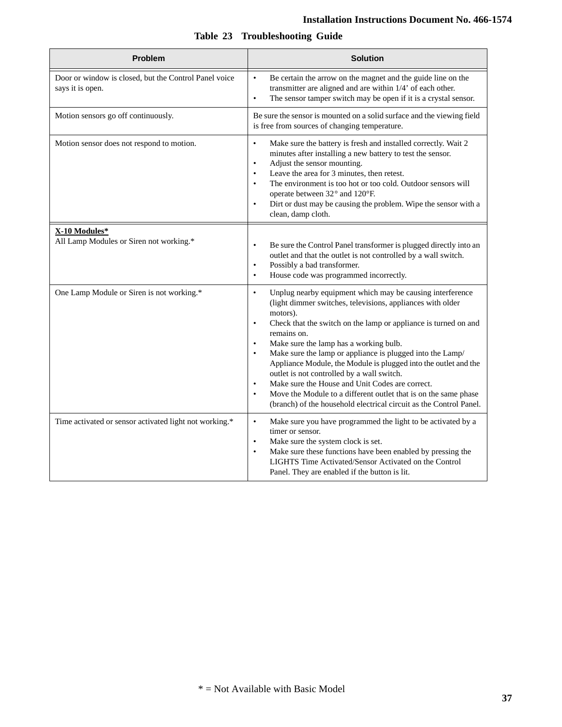| <b>Problem</b>                                                            | <b>Solution</b>                                                                                                                                                                                                                                                                                                                                                                                                                                                                                                                                                                                                                                                                                                         |
|---------------------------------------------------------------------------|-------------------------------------------------------------------------------------------------------------------------------------------------------------------------------------------------------------------------------------------------------------------------------------------------------------------------------------------------------------------------------------------------------------------------------------------------------------------------------------------------------------------------------------------------------------------------------------------------------------------------------------------------------------------------------------------------------------------------|
| Door or window is closed, but the Control Panel voice<br>says it is open. | Be certain the arrow on the magnet and the guide line on the<br>$\bullet$<br>transmitter are aligned and are within 1/4' of each other.<br>The sensor tamper switch may be open if it is a crystal sensor.<br>$\bullet$                                                                                                                                                                                                                                                                                                                                                                                                                                                                                                 |
| Motion sensors go off continuously.                                       | Be sure the sensor is mounted on a solid surface and the viewing field<br>is free from sources of changing temperature.                                                                                                                                                                                                                                                                                                                                                                                                                                                                                                                                                                                                 |
| Motion sensor does not respond to motion.                                 | Make sure the battery is fresh and installed correctly. Wait 2<br>$\bullet$<br>minutes after installing a new battery to test the sensor.<br>Adjust the sensor mounting.<br>$\bullet$<br>Leave the area for 3 minutes, then retest.<br>$\bullet$<br>The environment is too hot or too cold. Outdoor sensors will<br>$\bullet$<br>operate between 32° and 120°F.<br>Dirt or dust may be causing the problem. Wipe the sensor with a<br>$\bullet$<br>clean, damp cloth.                                                                                                                                                                                                                                                   |
| X-10 Modules*<br>All Lamp Modules or Siren not working.*                  | Be sure the Control Panel transformer is plugged directly into an<br>outlet and that the outlet is not controlled by a wall switch.<br>Possibly a bad transformer.<br>$\bullet$<br>House code was programmed incorrectly.<br>$\bullet$                                                                                                                                                                                                                                                                                                                                                                                                                                                                                  |
| One Lamp Module or Siren is not working.*                                 | Unplug nearby equipment which may be causing interference<br>$\bullet$<br>(light dimmer switches, televisions, appliances with older<br>motors).<br>Check that the switch on the lamp or appliance is turned on and<br>$\bullet$<br>remains on.<br>Make sure the lamp has a working bulb.<br>$\bullet$<br>Make sure the lamp or appliance is plugged into the Lamp/<br>$\bullet$<br>Appliance Module, the Module is plugged into the outlet and the<br>outlet is not controlled by a wall switch.<br>Make sure the House and Unit Codes are correct.<br>$\bullet$<br>Move the Module to a different outlet that is on the same phase<br>$\bullet$<br>(branch) of the household electrical circuit as the Control Panel. |
| Time activated or sensor activated light not working.*                    | Make sure you have programmed the light to be activated by a<br>$\bullet$<br>timer or sensor.<br>Make sure the system clock is set.<br>$\bullet$<br>Make sure these functions have been enabled by pressing the<br>$\bullet$<br>LIGHTS Time Activated/Sensor Activated on the Control<br>Panel. They are enabled if the button is lit.                                                                                                                                                                                                                                                                                                                                                                                  |

**Table 23 Troubleshooting Guide**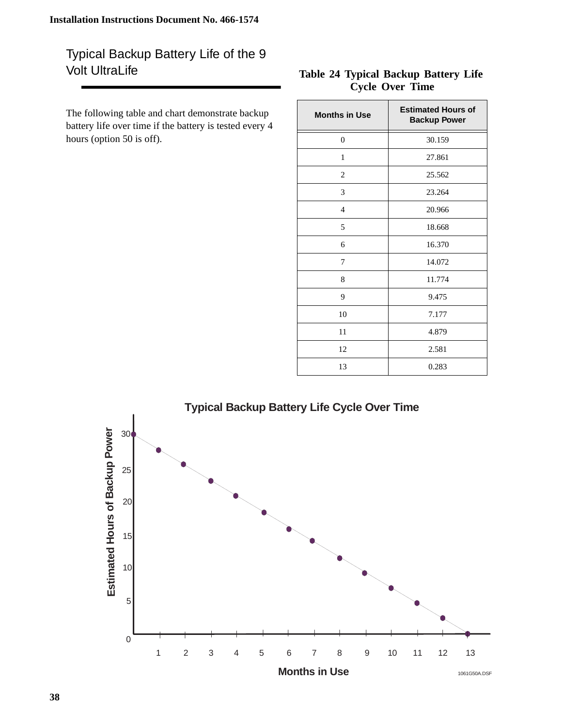<span id="page-37-0"></span>Typical Backup Battery Life of the 9 Volt UltraLife

The following table and chart demonstrate backup battery life over time if the battery is tested every 4 hours (option 50 is off).

| <b>Months in Use</b> | <b>Estimated Hours of</b><br><b>Backup Power</b> |
|----------------------|--------------------------------------------------|
| $\boldsymbol{0}$     | 30.159                                           |
| $\mathbf{1}$         | 27.861                                           |
| $\overline{c}$       | 25.562                                           |
| 3                    | 23.264                                           |
| $\overline{4}$       | 20.966                                           |
| 5                    | 18.668                                           |
| 6                    | 16.370                                           |
| 7                    | 14.072                                           |
| 8                    | 11.774                                           |
| 9                    | 9.475                                            |
| 10                   | 7.177                                            |
| 11                   | 4.879                                            |
| 12                   | 2.581                                            |
| 13                   | 0.283                                            |





**38**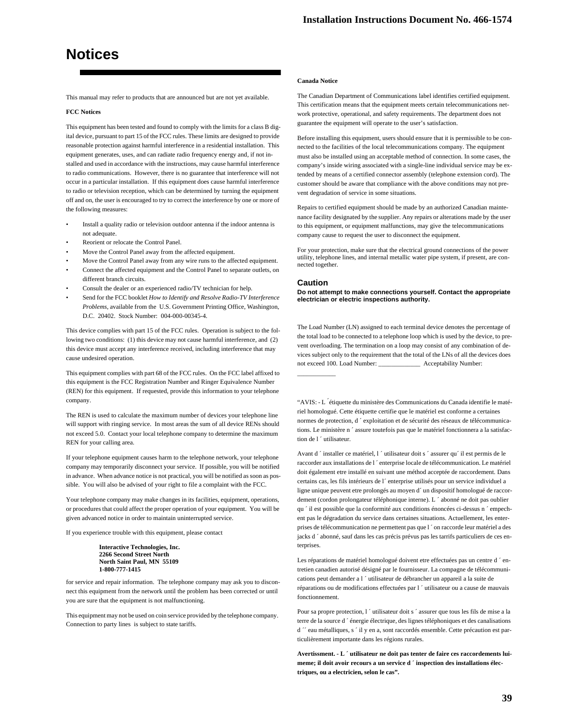## <span id="page-38-0"></span>**Notices**

This manual may refer to products that are announced but are not yet available.

#### **FCC Notices**

This equipment has been tested and found to comply with the limits for a class B digital device, pursuant to part 15 of the FCC rules. These limits are designed to provide reasonable protection against harmful interference in a residential installation. This equipment generates, uses, and can radiate radio frequency energy and, if not installed and used in accordance with the instructions, may cause harmful interference to radio communications. However, there is no guarantee that interference will not occur in a particular installation. If this equipment does cause harmful interference to radio or television reception, which can be determined by turning the equipment off and on, the user is encouraged to try to correct the interference by one or more of the following measures:

- Install a quality radio or television outdoor antenna if the indoor antenna is not adequate.
- Reorient or relocate the Control Panel.
- Move the Control Panel away from the affected equipment.
- Move the Control Panel away from any wire runs to the affected equipment.
- Connect the affected equipment and the Control Panel to separate outlets, on different branch circuits.
- Consult the dealer or an experienced radio/TV technician for help.
- Send for the FCC booklet *How to Identify and Resolve Radio-TV Interference Problems*, available from the U.S. Government Printing Office, Washington, D.C. 20402. Stock Number: 004-000-00345-4.

This device complies with part 15 of the FCC rules. Operation is subject to the following two conditions: (1) this device may not cause harmful interference, and (2) this device must accept any interference received, including interference that may cause undesired operation.

This equipment complies with part 68 of the FCC rules. On the FCC label affixed to this equipment is the FCC Registration Number and Ringer Equivalence Number (REN) for this equipment. If requested, provide this information to your telephone company.

The REN is used to calculate the maximum number of devices your telephone line will support with ringing service. In most areas the sum of all device RENs should not exceed 5.0. Contact your local telephone company to determine the maximum REN for your calling area.

If your telephone equipment causes harm to the telephone network, your telephone company may temporarily disconnect your service. If possible, you will be notified in advance. When advance notice is not practical, you will be notified as soon as possible. You will also be advised of your right to file a complaint with the FCC.

Your telephone company may make changes in its facilities, equipment, operations, or procedures that could affect the proper operation of your equipment. You will be given advanced notice in order to maintain uninterrupted service.

If you experience trouble with this equipment, please contact

**Interactive Technologies, Inc. 2266 Second Street North North Saint Paul, MN 55109 1-800-777-1415**

for service and repair information. The telephone company may ask you to disconnect this equipment from the network until the problem has been corrected or until you are sure that the equipment is not malfunctioning.

This equipment may not be used on coin service provided by the telephone company. Connection to party lines is subject to state tariffs.

#### **Canada Notice**

The Canadian Department of Communications label identifies certified equipment. This certification means that the equipment meets certain telecommunications network protective, operational, and safety requirements. The department does not guarantee the equipment will operate to the user's satisfaction.

Before installing this equipment, users should ensure that it is permissible to be connected to the facilities of the local telecommunications company. The equipment must also be installed using an acceptable method of connection. In some cases, the company's inside wiring associated with a single-line individual service may be extended by means of a certified connector assembly (telephone extension cord). The customer should be aware that compliance with the above conditions may not prevent degradation of service in some situations.

Repairs to certified equipment should be made by an authorized Canadian maintenance facility designated by the supplier. Any repairs or alterations made by the user to this equipment, or equipment malfunctions, may give the telecommunications company cause to request the user to disconnect the equipment.

For your protection, make sure that the electrical ground connections of the power utility, telephone lines, and internal metallic water pipe system, if present, are connected together.

#### **Caution**

 $\overline{\phantom{a}}$ 

**Do not attempt to make connections yourself. Contact the appropriate electrician or electric inspections authority.**

The Load Number (LN) assigned to each terminal device denotes the percentage of the total load to be connected to a telephone loop which is used by the device, to prevent overloading. The termination on a loop may consist of any combination of devices subject only to the requirement that the total of the LNs of all the devices does not exceed 100. Load Number: <br>Acceptability Number:

"AVIS: - L ´étiquette du ministère des Communications du Canada identifie le matériel homologué. Cette étiquette certifie que le matériel est conforme a certaines normes de protection, d ´ exploitation et de sécurité des réseaux de télécommunications. Le ministère n ´ assure toutefois pas que le matériel fonctionnera a la satisfaction de l ' utilisateur.

Avant d ´ installer ce matériel, l ´ utilisateur doit s ´ assurer qu´ il est permis de le raccorder aux installations de l ´ enterprise locale de télécommunication. Le matériel doit également etre installé en suivant une méthod acceptée de raccordement. Dans certains cas, les fils intérieurs de l´ enterprise utilisés pour un service individuel a ligne unique peuvent etre prolongés au moyen d´ un dispositif homologué de raccordement (cordon prolongateur téléphonique interne). L ´ abonné ne doit pas oublier qu ´ il est possible que la conformité aux conditions énoncées ci-dessus n ´ empechent pas le dégradation du service dans certaines situations. Actuellement, les enterprises de télécommunication ne permettent pas que l ´ on raccorde leur matériel a des jacks d ´ abonné, sauf dans les cas précis prévus pas les tarrifs particuliers de ces enterprises.

Les réparations de matériel homologué doivent etre effectuées pas un centre d'entretien canadien autorisé désigné par le fournisseur. La compagne de télécommunications peut demander a l ´ utilisateur de débrancher un appareil a la suite de réparations ou de modifications effectuées par l ´ utilisateur ou a cause de mauvais fonctionnement.

Pour sa propre protection, l ´utilisateur doit s ´assurer que tous les fils de mise a la terre de la source d ´ énergie électrique, des lignes téléphoniques et des canalisations d ´´ eau métalliques, s ´ il y en a, sont raccordés ensemble. Cette précaution est particulièrement importante dans les régions rurales.

**Avertissment. - L ´ utilisateur ne doit pas tenter de faire ces raccordements luimeme; il doit avoir recours a un service d ´ inspection des installations électriques, ou a electricien, selon le cas".**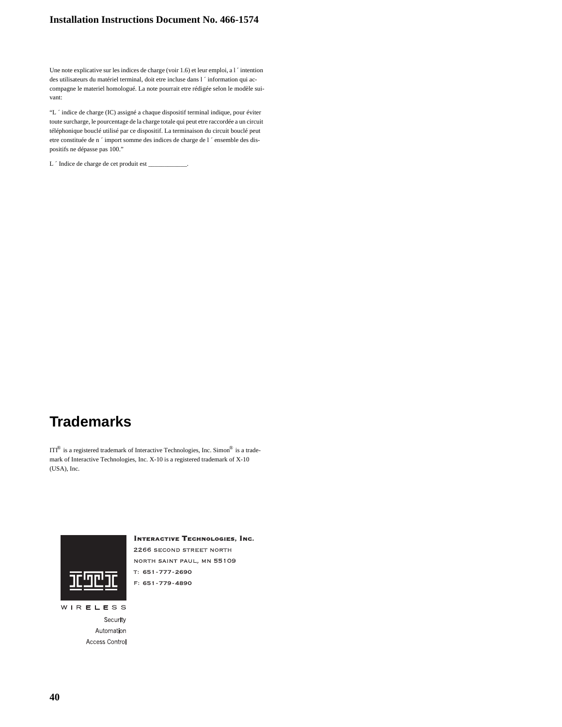#### **Installation Instructions Document No. 466-1574**.

Une note explicative sur les indices de charge (voir 1.6) et leur emploi, a l'intention des utilisateurs du matériel terminal, doit etre incluse dans l ´ information qui accompagne le materiel homologué. La note pourrait etre rédigée selon le modèle suivant:

"L ´ indice de charge (IC) assigné a chaque dispositif terminal indique, pour éviter toute surcharge, le pourcentage de la charge totale qui peut etre raccordée a un circuit téléphonique bouclé utilisé par ce dispositif. La terminaison du circuit bouclé peut etre constituée de n ´ import somme des indices de charge de l ´ ensemble des dispositifs ne dépasse pas 100."

L $\acute{~}$  Indice de charge de cet produit est  $\_$ 

## **Trademarks**

 $IT^{\circledR}$  is a registered trademark of Interactive Technologies, Inc. Simon $^{\circledR}$  is a trademark of Interactive Technologies, Inc. X-10 is a registered trademark of X-10 (USA), Inc.



**INTERACTIVE TECHNOLOGIES, INC.** 2266 SECOND STREET NORTH NORTH SAINT PAUL, MN 55109 **651-777-2690 651-779-4890**

**WIRELESS** Security Automation Access Control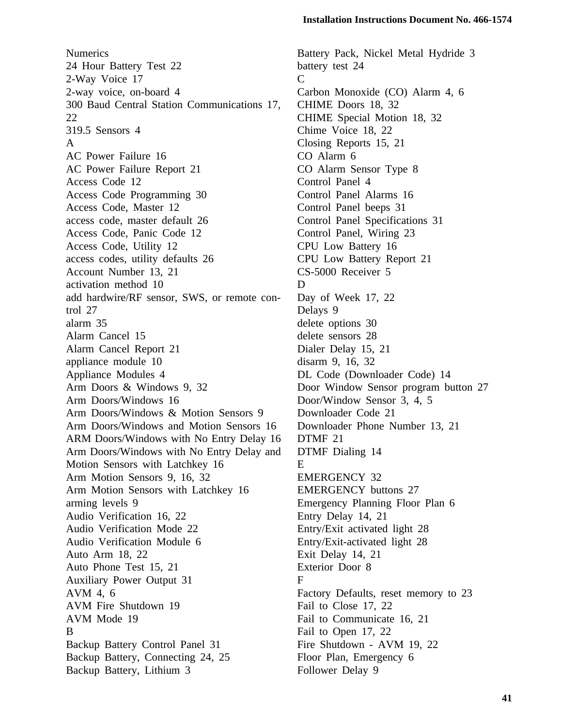<span id="page-40-0"></span>**Numerics** [24 Hour Battery Test 22](#page-21-0) [2-Way Voice 17](#page-16-0) [2-way voice, on-board 4](#page-3-0) [300 Baud Central Station Communications 17,](#page-16-0) [22](#page-21-0) [319.5 Sensors 4](#page-3-0) A [AC Power Failure 16](#page-15-0) [AC Power Failure Report 21](#page-20-0) [Access Code 12](#page-11-0) [Access Code Programming 30](#page-29-0) [Access Code, Master 12](#page-11-0) [access code, master default 26](#page-25-0) [Access Code, Panic Code 12](#page-11-0) [Access Code, Utility 12](#page-11-0) [access codes, utility defaults 26](#page-25-0) [Account Number 13,](#page-12-0) [21](#page-20-0) [activation method 10](#page-9-0) [add hardwire/RF sensor, SWS, or remote con](#page-26-0)trol 27 [alarm 35](#page-34-0) [Alarm Cancel 15](#page-14-0) [Alarm Cancel Report 21](#page-20-0) [appliance module 10](#page-9-0) [Appliance Modules 4](#page-3-0) [Arm Doors & Windows 9,](#page-8-0) [32](#page-31-0) [Arm Doors/Windows 16](#page-15-0) [Arm Doors/Windows & Motion Sensors 9](#page-8-0) [Arm Doors/Windows and Motion Sensors 16](#page-15-0) [ARM Doors/Windows with No Entry Delay 16](#page-15-0) [Arm Doors/Windows with No Entry Delay and](#page-15-0) Motion Sensors with Latchkey 16 [Arm Motion Sensors 9,](#page-8-0) [16,](#page-15-0) [32](#page-31-0) [Arm Motion Sensors with Latchkey 16](#page-15-0) [arming levels 9](#page-8-0) [Audio Verification 16,](#page-15-0) [22](#page-21-0) [Audio Verification Mode 22](#page-21-0) [Audio Verification Module 6](#page-5-0) [Auto Arm 18,](#page-17-0) [22](#page-21-0) [Auto Phone Test 15,](#page-14-0) [21](#page-20-0) [Auxiliary Power Output 31](#page-30-0) [AVM 4,](#page-3-0) [6](#page-5-0) [AVM Fire Shutdown 19](#page-18-0) [AVM Mode 19](#page-18-0) B [Backup Battery Control Panel 31](#page-30-0) [Backup Battery, Connecting 24,](#page-23-0) [25](#page-24-0) [Backup Battery, Lithium 3](#page-2-0)

[Battery Pack, Nickel Metal Hydride 3](#page-2-0) [battery test 24](#page-23-0) C [Carbon Monoxide \(CO\) Alarm 4,](#page-3-0) [6](#page-5-0) [CHIME Doors 18,](#page-17-0) [32](#page-31-0) [CHIME Special Motion 18,](#page-17-0) [32](#page-31-0) [Chime Voice 18,](#page-17-0) [22](#page-21-0) [Closing Reports 15,](#page-14-0) [21](#page-20-0) [CO Alarm 6](#page-5-0) [CO Alarm Sensor Type 8](#page-7-0) [Control Panel 4](#page-3-0) [Control Panel Alarms 16](#page-15-0) [Control Panel beeps 31](#page-30-0) [Control Panel Specifications 31](#page-30-0) [Control Panel, Wiring 23](#page-22-0) [CPU Low Battery 16](#page-15-0) [CPU Low Battery Report 21](#page-20-0) [CS-5000 Receiver 5](#page-4-0) D [Day of Week 17,](#page-16-0) [22](#page-21-0) [Delays 9](#page-8-0) [delete options 30](#page-29-0) [delete sensors 28](#page-27-0) [Dialer Delay 15,](#page-14-0) [21](#page-20-0) [disarm 9,](#page-8-0) [16,](#page-15-0) [32](#page-31-0) [DL Code \(Downloader Code\) 14](#page-13-0) [Door Window Sensor program button 27](#page-26-0) [Door/Window Sensor 3,](#page-2-0) [4,](#page-3-0) [5](#page-4-0) [Downloader Code 21](#page-20-0) [Downloader Phone Number 13,](#page-12-0) [21](#page-20-0) [DTMF 21](#page-20-0) [DTMF Dialing 14](#page-13-0) E [EMERGENCY 32](#page-31-0) [EMERGENCY buttons 27](#page-26-0) [Emergency Planning Floor Plan 6](#page-5-0) [Entry Delay 14,](#page-13-0) [21](#page-20-0) [Entry/Exit activated light 28](#page-27-0) [Entry/Exit-activated light 28](#page-27-0) [Exit Delay 14,](#page-13-0) [21](#page-20-0) [Exterior Door 8](#page-7-0)  $F$ [Factory Defaults, reset memory to 23](#page-22-0) [Fail to Close 17,](#page-16-0) [22](#page-21-0) [Fail to Communicate 16,](#page-15-0) [21](#page-20-0) [Fail to Open 17,](#page-16-0) [22](#page-21-0) [Fire Shutdown - AVM 19,](#page-18-0) [22](#page-21-0) [Floor Plan, Emergency 6](#page-5-0) [Follower Delay 9](#page-8-0)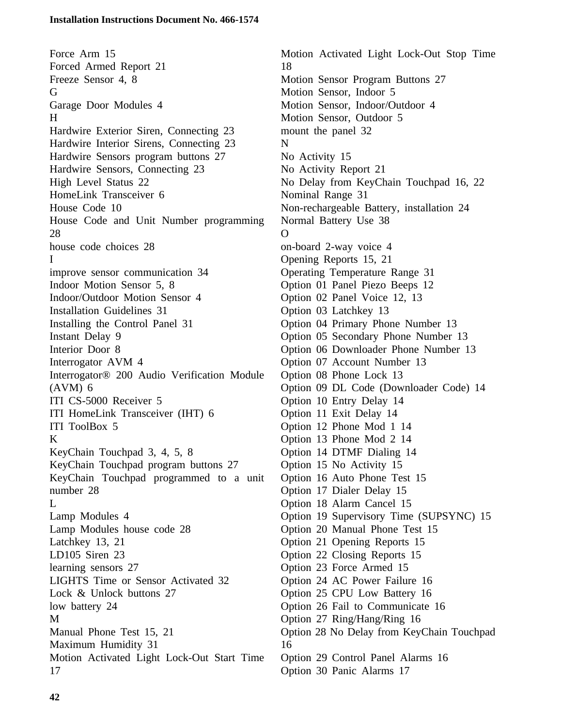[Force Arm 15](#page-14-0) [Forced Armed Report 21](#page-20-0) [Freeze Sensor 4,](#page-3-0) [8](#page-7-0) G [Garage Door Modules 4](#page-3-0) H [Hardwire Exterior Siren, Connecting 23](#page-22-0) [Hardwire Interior Sirens, Connecting 23](#page-22-0) [Hardwire Sensors program buttons 27](#page-26-0) [Hardwire Sensors, Connecting 23](#page-22-0) [High Level Status 22](#page-21-0) [HomeLink Transceiver 6](#page-5-0) [House Code 10](#page-9-0) [House Code and Unit Number programming](#page-27-0) 28 [house code choices 28](#page-27-0) I [improve sensor communication 34](#page-33-0) [Indoor Motion Sensor 5,](#page-4-0) [8](#page-7-0) [Indoor/Outdoor Motion Sensor 4](#page-3-0) [Installation Guidelines 31](#page-30-0) [Installing the Control Panel 31](#page-30-0) [Instant Delay 9](#page-8-0) [Interior Door 8](#page-7-0) [Interrogator AVM 4](#page-3-0) [Interrogator® 200 Audio Verification Module](#page-5-0) (AVM) 6 [ITI CS-5000 Receiver 5](#page-4-0) [ITI HomeLink Transceiver \(IHT\) 6](#page-5-0) [ITI ToolBox 5](#page-4-0) K [KeyChain Touchpad 3,](#page-2-0) [4,](#page-3-0) [5,](#page-4-0) [8](#page-7-0) [KeyChain Touchpad program buttons 27](#page-26-0) [KeyChain Touchpad programmed to a unit](#page-27-0) number 28 L [Lamp Modules 4](#page-3-0) [Lamp Modules house code 28](#page-27-0) [Latchkey 13,](#page-12-0) [21](#page-20-0) [LD105 Siren 23](#page-22-0) [learning sensors 27](#page-26-0) [LIGHTS Time or Sensor Activated 32](#page-31-0) [Lock & Unlock buttons 27](#page-26-0) [low battery 24](#page-23-0) M [Manual Phone Test 15,](#page-14-0) [21](#page-20-0) [Maximum Humidity 31](#page-30-0) [Motion Activated Light Lock-Out Start Time](#page-16-0) 17

[Motion Activated Light Lock-Out Stop Time](#page-17-0) 18 [Motion Sensor Program Buttons 27](#page-26-0) [Motion Sensor, Indoor 5](#page-4-0) [Motion Sensor, Indoor/Outdoor 4](#page-3-0) [Motion Sensor, Outdoor 5](#page-4-0) [mount the panel 32](#page-31-0) N [No Activity 15](#page-14-0) [No Activity Report 21](#page-20-0) [No Delay from KeyChain Touchpad 16](#page-15-0)[, 22](#page-21-0) [Nominal Range 31](#page-30-0) [Non-rechargeable Battery, installation 24](#page-23-0) [Normal Battery Use 38](#page-37-0) O [on-board 2-way voice 4](#page-3-0) [Opening Reports 15,](#page-14-0) [21](#page-20-0) [Operating Temperature Range 31](#page-30-0) [Option 01 Panel Piezo Beeps 12](#page-11-0) [Option 02 Panel Voice 12,](#page-11-0) [13](#page-12-0) [Option 03 Latchkey 13](#page-12-0) [Option 04 Primary Phone Number 13](#page-12-0) [Option 05 Secondary Phone Number 13](#page-12-0) [Option 06 Downloader Phone Number 13](#page-12-0) [Option 07 Account Number 13](#page-12-0) [Option 08 Phone Lock 13](#page-12-0) [Option 09 DL Code \(Downloader Code\) 14](#page-13-0) [Option 10 Entry Delay 14](#page-13-0) [Option 11 Exit Delay 14](#page-13-0) [Option 12 Phone Mod 1 14](#page-13-0) [Option 13 Phone Mod 2 14](#page-13-0) [Option 14 DTMF Dialing 14](#page-13-0) [Option 15 No Activity 15](#page-14-0) [Option 16 Auto Phone Test 15](#page-14-0) [Option 17 Dialer Delay 15](#page-14-0) [Option 18 Alarm Cancel 15](#page-14-0) [Option 19 Supervisory Time \(SUPSYNC\) 15](#page-14-0) [Option 20 Manual Phone Test 15](#page-14-0) [Option 21 Opening Reports 15](#page-14-0) [Option 22 Closing Reports 15](#page-14-0) [Option 23 Force Armed 15](#page-14-0) [Option 24 AC Power Failure 16](#page-15-0) [Option 25 CPU Low Battery 16](#page-15-0) [Option 26 Fail to Communicate 16](#page-15-0) [Option 27 Ring/Hang/Ring 16](#page-15-0) [Option 28 No Delay from KeyChain Touchpad](#page-15-0) 16 [Option 29 Control Panel Alarms 16](#page-15-0) [Opt](#page-16-0)[ion 30 Panic Alarms 17](#page-8-0)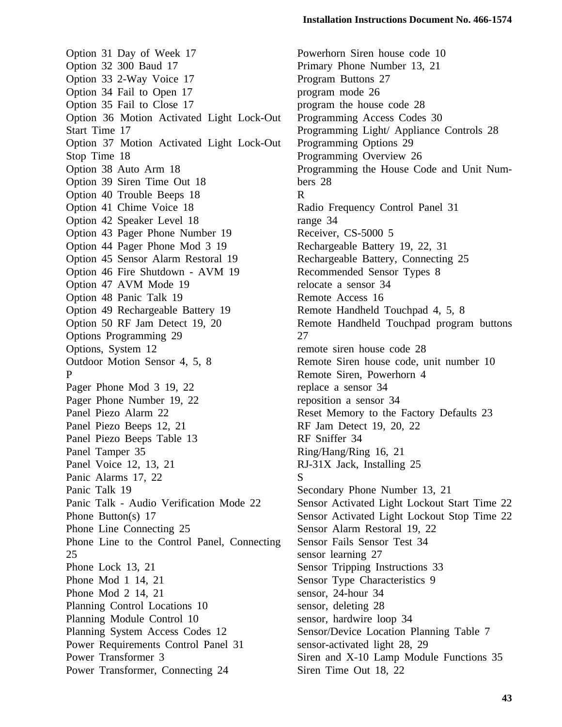[Option 31 Day of Week 17](#page-16-0) [Option 32 300 Baud 17](#page-16-0) [Option 33 2-Way Voice 17](#page-16-0) [Option 34 Fail to Open 17](#page-16-0) [Option 35 Fail to Close 17](#page-16-0) [Option 36 Motion Activated Light Lock-Out](#page-16-0) Start Time 17 [Option 37 Motion Activated Light Lock-Out](#page-17-0) Stop Time 18 [Option 38 Auto Arm 18](#page-17-0) [Option 39 Siren Time Out 18](#page-17-0) [Option 40 Trouble Beeps 18](#page-17-0) [Option 41 Chime Voice 18](#page-17-0) [Option 42 Speaker Level 18](#page-17-0) [Option 43 Pager Phone Number 19](#page-18-0) [Option 44 Pager Phone Mod 3 19](#page-18-0) [Option 45 Sensor Alarm Restoral 19](#page-18-0) [Option 46 Fire Shutdown - AVM 19](#page-18-0) [Option 47 AVM Mode 19](#page-18-0) [Option 48 Panic Talk 19](#page-18-0) [Option 49 Rechargeable Battery 19](#page-18-0) [Option 50 RF Jam Detect 19,](#page-18-0) [20](#page-19-0) [Options Programming 29](#page-28-0) [Options, System 12](#page-11-0) [Outdoor Motion Sensor 4,](#page-3-0) [5,](#page-4-0) [8](#page-7-0) P [Pager Phone Mod 3 19,](#page-18-0) [22](#page-21-0) [Pager Phone Number 19,](#page-18-0) [22](#page-21-0) [Panel Piezo Alarm 22](#page-21-0) [Panel Piezo Beeps 12,](#page-11-0) [21](#page-20-0) [Panel Piezo Beeps Table 13](#page-12-0) [Panel Tamper 35](#page-34-0) [Panel Voice 12,](#page-11-0) [13,](#page-12-0) [21](#page-20-0) [Panic Alarms 17,](#page-16-0) [22](#page-21-0) [Panic Talk 19](#page-18-0) [Panic Talk - Audio Verification Mode 22](#page-21-0) [Phone Button\(s\) 17](#page-16-0) [Phone Line Connecting 25](#page-24-0) [Phone Line to the Control Panel, Connecting](#page-24-0) 25 [Phone Lock 13,](#page-12-0) [21](#page-20-0) [Phone Mod 1 14,](#page-13-0) [21](#page-20-0) [Phone Mod 2 14,](#page-13-0) [21](#page-20-0) [Planning Control Locations 10](#page-9-0) [Planning Module Control 10](#page-9-0) [Planning System Access Codes 12](#page-11-0) [Power Requirements Control Panel 31](#page-30-0) [Power Transformer 3](#page-2-0) [Power Transformer, Connecting 24](#page-23-0)

[Powerhorn Siren house code 10](#page-9-0) [Primary Phone Number 13,](#page-12-0) [21](#page-20-0) [Program Buttons 27](#page-26-0) [program mode 26](#page-25-0) [program the house code 28](#page-27-0) [Programming Access Codes 30](#page-29-0) [Programming Light/ Appliance Controls 28](#page-27-0) [Programming Options 29](#page-28-0) [Programming Overview 26](#page-25-0) [Programming the House Code and Unit Num](#page-27-0)bers 28 R [Radio Frequency Control Panel 31](#page-30-0) [range 34](#page-33-0) [Receiver, CS-5000 5](#page-4-0) [Rechargeable Battery 19,](#page-18-0) [22,](#page-21-0) [31](#page-30-0) [Rechargeable Battery, Connecting 25](#page-24-0) [Recommended Sensor Types 8](#page-7-0) [relocate a sensor 34](#page-33-0) [Remote Access 16](#page-15-0) [Remote Handheld Touchpad 4,](#page-3-0) [5,](#page-4-0) [8](#page-7-0) [Remote Handheld Touchpad program buttons](#page-26-0) 27 [remote siren house code 28](#page-27-0) [Remote Siren house code, unit number 10](#page-9-0) [Remote Siren, Powerhorn 4](#page-3-0) [replace a sensor 34](#page-33-0) [reposition a sensor 34](#page-33-0) [Reset Memory to the Factory Defaults 23](#page-22-0) [RF Jam Detect 19,](#page-18-0) [20,](#page-19-0) [22](#page-21-0) [RF Sniffer 34](#page-33-0) [Ring/Hang/Ring 16,](#page-15-0) [21](#page-20-0) [RJ-31X Jack, Installing 25](#page-24-0) S [Secondary Phone Number 13,](#page-12-0) [21](#page-20-0) [Sensor Activated Light Lockout Start Time 22](#page-21-0) [Sensor Activated Light Lockout Stop Time 22](#page-21-0) [Sensor Alarm Restoral 19,](#page-18-0) [22](#page-21-0) [Sensor Fails Sensor Test 34](#page-33-0) [sensor learning 27](#page-26-0) [Sensor Tripping Instructions 33](#page-32-0) [Sensor Type Characteristics 9](#page-8-0) [sensor, 24-hour 34](#page-33-0) [sensor, deleting 28](#page-27-0) [sensor, hardwire loop 34](#page-33-0) [Sensor/Device Location Planning Table 7](#page-6-0) [sensor-activated light 28,](#page-27-0) [29](#page-28-0) [Siren and X-10 Lamp Module Functions 35](#page-34-0) [Siren Time Out 18, 22](#page-16-0)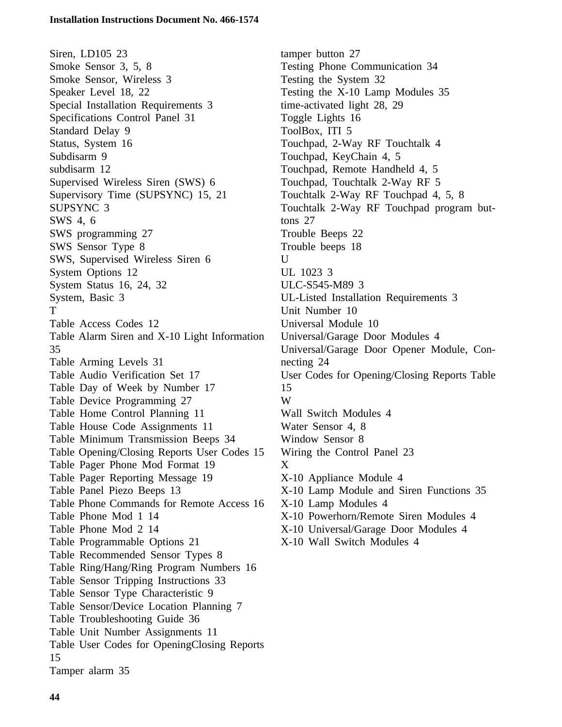[Siren, LD105 23](#page-22-0) [Smoke Sensor 3,](#page-2-0) [5,](#page-4-0) [8](#page-7-0) [Smoke Sensor, Wireless 3](#page-2-0) [Speaker Level 18,](#page-17-0) [22](#page-21-0) [Special Installation Requirements 3](#page-2-0) [Specifications Control Panel 31](#page-30-0) [Standard Delay 9](#page-8-0) [Status, System 16](#page-15-0) [Subdisarm 9](#page-8-0) [subdisarm 12](#page-11-0) [Supervised Wireless Siren \(SWS\) 6](#page-5-0) [Supervisory Time \(SUPSYNC\) 15,](#page-14-0) [21](#page-20-0) [SUPSYNC 3](#page-2-0) [SWS 4,](#page-3-0) [6](#page-5-0) [SWS programming 27](#page-26-0) [SWS Sensor Type 8](#page-7-0) [SWS, Supervised Wireless Siren 6](#page-5-0) [System Options 12](#page-11-0) [System Status 16,](#page-15-0) [24,](#page-23-0) [32](#page-31-0) [System, Basic 3](#page-2-0) T [Table Access Codes 12](#page-11-0) [Table Alarm Siren and X-10 Light Information](#page-34-0) 35 [Table Arming Levels 31](#page-30-0) [Table Audio Verification Set 17](#page-16-0) [Table Day of Week by Number 17](#page-16-0) [Table Device Programming 27](#page-26-0) [Table Home Control Planning 11](#page-10-0) [Table House Code Assignments 11](#page-10-0) [Table Minimum Transmission Beeps 34](#page-33-0) [Table Opening/Closing Reports User Codes 15](#page-14-0) [Table Pager Phone Mod Format 19](#page-18-0) [Table Pager Reporting Message 19](#page-18-0) [Table Panel Piezo Beeps 13](#page-12-0) [Table Phone Commands for Remote Access 16](#page-15-0) [Table Phone Mod 1 14](#page-13-0) [Table Phone Mod 2 14](#page-13-0) [Table Programmable Options 21](#page-20-0) [Table Recommended Sensor Types 8](#page-7-0) [Table Ring/Hang/Ring Program Numbers 16](#page-15-0) [Table Sensor Tripping Instructions 33](#page-32-0) [Table Sensor Type Characteristic 9](#page-8-0) [Table Sensor/Device Location Planning 7](#page-6-0) [Table Troubleshooting Guide 36](#page-35-0) [Table Unit Number Assignments 11](#page-10-0) [Table User Codes for OpeningClosing Reports](#page-14-0) 15 [Tamper alarm 35](#page-34-0)

[tamper button 27](#page-26-0) [Testing Phone Communication 34](#page-33-0) [Testing the System 32](#page-31-0) [Testing the X-10 Lamp Modules 35](#page-34-0) [time-activated light 28,](#page-27-0) [29](#page-28-0) [Toggle Lights 16](#page-15-0) [ToolBox, ITI 5](#page-4-0) [Touchpad, 2-Way RF Touchtalk 4](#page-3-0) [Touchpad, KeyChain 4,](#page-3-0) [5](#page-4-0) [Touchpad, Remote Handheld 4,](#page-3-0) [5](#page-4-0) [Touchpad, Touchtalk 2-Way RF 5](#page-4-0) [Touchtalk 2-Way RF Touchpad 4,](#page-3-0) [5](#page-4-0)[, 8](#page-7-0) [Touchtalk 2-Way RF Touchpad program but](#page-26-0)tons 27 [Trouble Beeps 22](#page-21-0) [Trouble beeps 18](#page-17-0)  $U$ [UL 1023 3](#page-2-0) [ULC-S545-M89 3](#page-2-0) [UL-Listed Installation Requirements 3](#page-2-0) [Unit Number 10](#page-9-0) [Universal Module 10](#page-9-0) [Universal/Garage Door Modules 4](#page-3-0) [Universal/Garage Door Opener Module, Con](#page-23-0)necting 24 [User Codes for Opening/Closing Reports Table](#page-14-0) 15 W [Wall Switch Modules 4](#page-3-0) [Water Sensor 4,](#page-3-0) [8](#page-7-0) [Window Sensor 8](#page-7-0) [Wiring the Control Panel 23](#page-22-0) X [X-10 Appliance Module 4](#page-3-0) [X-10 Lamp Module and Siren Functions 35](#page-34-0) [X-10 Lamp Modules 4](#page-3-0) [X-10 Powerhorn/Remote Siren Modules 4](#page-3-0) [X-10 Universal/Garage Door Modules 4](#page-3-0) [X-10 Wall Switch Modules 4](#page-3-0)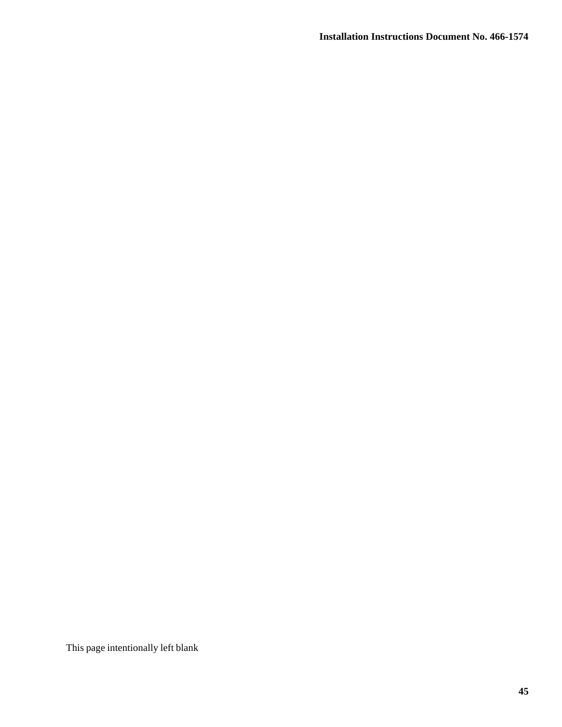This page intentionally left blank